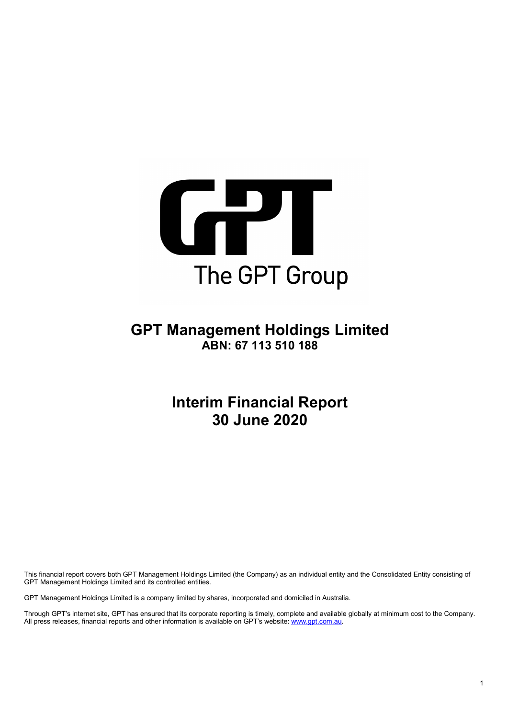

# **GPT Management Holdings Limited ABN: 67 113 510 188**

**Interim Financial Report 30 June 2020**

This financial report covers both GPT Management Holdings Limited (the Company) as an individual entity and the Consolidated Entity consisting of GPT Management Holdings Limited and its controlled entities.

GPT Management Holdings Limited is a company limited by shares, incorporated and domiciled in Australia.

Through GPT's internet site, GPT has ensured that its corporate reporting is timely, complete and available globally at minimum cost to the Company. All press releases, financial reports and other information is available on GPT's website[: www.gpt.com.au.](http://www.gpt.com.au/)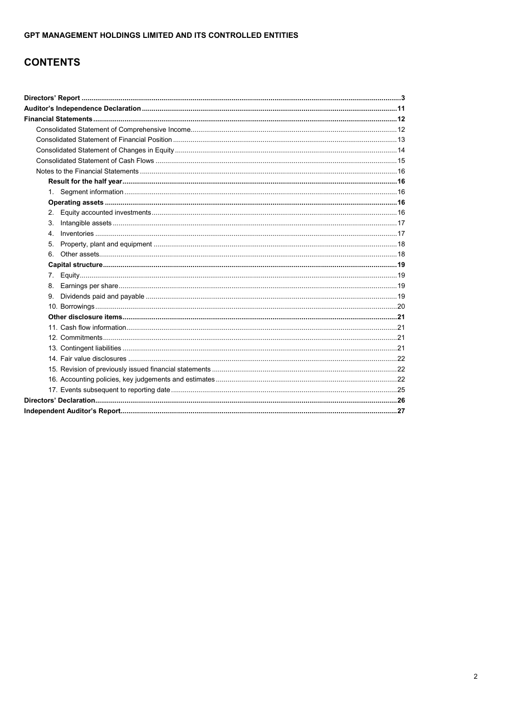# **CONTENTS**

| 1.      |  |
|---------|--|
|         |  |
| $2^{2}$ |  |
| 3.      |  |
| 4       |  |
| 5.      |  |
| 6.      |  |
|         |  |
|         |  |
|         |  |
|         |  |
|         |  |
|         |  |
|         |  |
|         |  |
|         |  |
|         |  |
|         |  |
|         |  |
|         |  |
|         |  |
|         |  |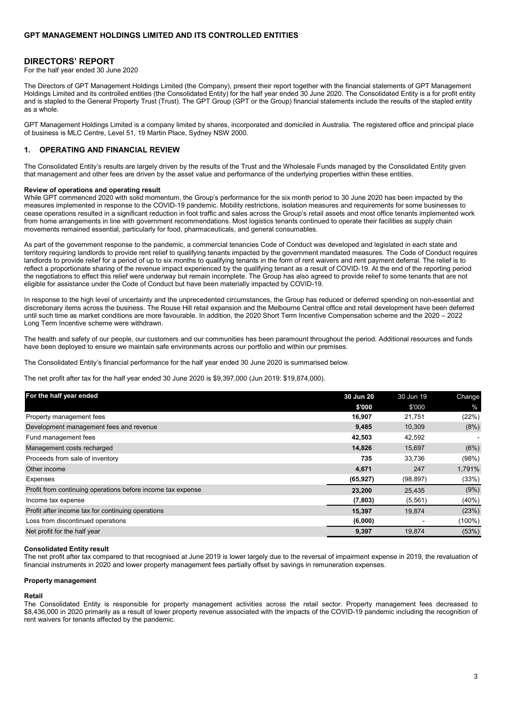### **DIRECTORS' REPORT**

For the half year ended 30 June 2020

The Directors of GPT Management Holdings Limited (the Company), present their report together with the financial statements of GPT Management Holdings Limited and its controlled entities (the Consolidated Entity) for the half year ended 30 June 2020. The Consolidated Entity is a for profit entity and is stapled to the General Property Trust (Trust). The GPT Group (GPT or the Group) financial statements include the results of the stapled entity as a whole.

GPT Management Holdings Limited is a company limited by shares, incorporated and domiciled in Australia. The registered office and principal place of business is MLC Centre, Level 51, 19 Martin Place, Sydney NSW 2000.

#### **1. OPERATING AND FINANCIAL REVIEW**

The Consolidated Entity's results are largely driven by the results of the Trust and the Wholesale Funds managed by the Consolidated Entity given that management and other fees are driven by the asset value and performance of the underlying properties within these entities.

#### **Review of operations and operating result**

While GPT commenced 2020 with solid momentum, the Group's performance for the six month period to 30 June 2020 has been impacted by the measures implemented in response to the COVID-19 pandemic. Mobility restrictions, isolation measures and requirements for some businesses to cease operations resulted in a significant reduction in foot traffic and sales across the Group's retail assets and most office tenants implemented work from home arrangements in line with government recommendations. Most logistics tenants continued to operate their facilities as supply chain movements remained essential, particularly for food, pharmaceuticals, and general consumables.

As part of the government response to the pandemic, a commercial tenancies Code of Conduct was developed and legislated in each state and territory requiring landlords to provide rent relief to qualifying tenants impacted by the government mandated measures. The Code of Conduct requires landlords to provide relief for a period of up to six months to qualifying tenants in the form of rent waivers and rent payment deferral. The relief is to reflect a proportionate sharing of the revenue impact experienced by the qualifying tenant as a result of COVID-19. At the end of the reporting period the negotiations to effect this relief were underway but remain incomplete. The Group has also agreed to provide relief to some tenants that are not eligible for assistance under the Code of Conduct but have been materially impacted by COVID-19.

In response to the high level of uncertainty and the unprecedented circumstances, the Group has reduced or deferred spending on non-essential and discretionary items across the business. The Rouse Hill retail expansion and the Melbourne Central office and retail development have been deferred until such time as market conditions are more favourable. In addition, the 2020 Short Term Incentive Compensation scheme and the 2020 – 2022 Long Term Incentive scheme were withdrawn.

The health and safety of our people, our customers and our communities has been paramount throughout the period. Additional resources and funds have been deployed to ensure we maintain safe environments across our portfolio and within our premises.

The Consolidated Entity's financial performance for the half year ended 30 June 2020 is summarised below.

The net profit after tax for the half year ended 30 June 2020 is \$9,397,000 (Jun 2019: \$19,874,000).

| For the half year ended                                     | 30 Jun 20 | 30 Jun 19 | Change    |
|-------------------------------------------------------------|-----------|-----------|-----------|
|                                                             | \$'000    | \$'000    | %         |
| Property management fees                                    | 16,907    | 21,751    | (22%)     |
| Development management fees and revenue                     | 9,485     | 10,309    | (8%)      |
| Fund management fees                                        | 42,503    | 42,592    |           |
| Management costs recharged                                  | 14,826    | 15,697    | (6%)      |
| Proceeds from sale of inventory                             | 735       | 33.736    | (98%)     |
| Other income                                                | 4,671     | 247       | 1,791%    |
| Expenses                                                    | (65, 927) | (98, 897) | (33%)     |
| Profit from continuing operations before income tax expense | 23,200    | 25,435    | (9%)      |
| Income tax expense                                          | (7,803)   | (5, 561)  | (40%)     |
| Profit after income tax for continuing operations           | 15,397    | 19,874    | (23%)     |
| Loss from discontinued operations                           | (6,000)   |           | $(100\%)$ |
| Net profit for the half year                                | 9,397     | 19,874    | (53%)     |

#### **Consolidated Entity result**

The net profit after tax compared to that recognised at June 2019 is lower largely due to the reversal of impairment expense in 2019, the revaluation of financial instruments in 2020 and lower property management fees partially offset by savings in remuneration expenses.

#### **Property management**

#### **Retail**

The Consolidated Entity is responsible for property management activities across the retail sector. Property management fees decreased to \$8,436,000 in 2020 primarily as a result of lower property revenue associated with the impacts of the COVID-19 pandemic including the recognition of rent waivers for tenants affected by the pandemic.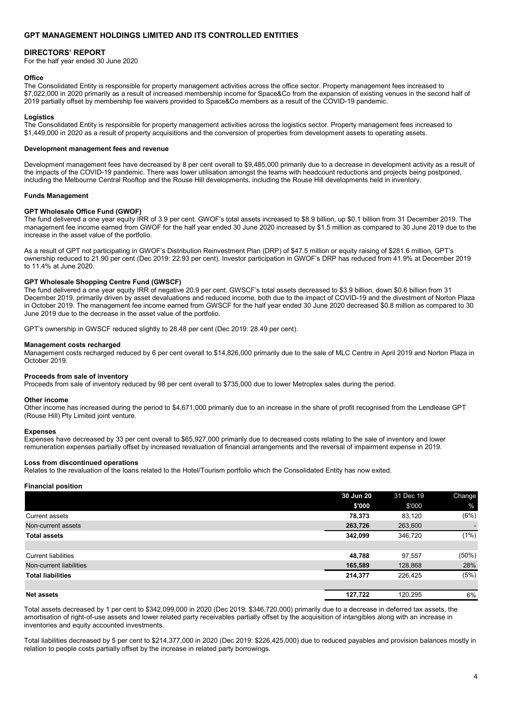#### **DIRECTORS' REPORT**

For the half year ended 30 June 2020

#### **Office**

The Consolidated Entity is responsible for property management activities across the office sector. Property management fees increased to \$7,022,000 in 2020 primarily as a result of increased membership income for Space&Co from the expansion of existing venues in the second half of 2019 partially offset by membership fee waivers provided to Space&Co members as a result of the COVID-19 pandemic.

#### **Logistics**

The Consolidated Entity is responsible for property management activities across the logistics sector. Property management fees increased to \$1,449,000 in 2020 as a result of property acquisitions and the conversion of properties from development assets to operating assets.

#### **Development management fees and revenue**

Development management fees have decreased by 8 per cent overall to \$9,485,000 primarily due to a decrease in development activity as a result of the impacts of the COVID-19 pandemic. There was lower utilisation amongst the teams with headcount reductions and projects being postponed, including the Melbourne Central Rooftop and the Rouse Hill developments, including the Rouse Hill developments held in inventory.

#### **Funds Management**

#### **GPT Wholesale Office Fund (GWOF)**

The fund delivered a one year equity IRR of 3.9 per cent. GWOF's total assets increased to \$8.9 billion, up \$0.1 billion from 31 December 2019. The management fee income earned from GWOF for the half year ended 30 June 2020 increased by \$1.5 million as compared to 30 June 2019 due to the increase in the asset value of the portfolio.

As a result of GPT not participating in GWOF's Distribution Reinvestment Plan (DRP) of \$47.5 million or equity raising of \$281.6 million, GPT's ownership reduced to 21.90 per cent (Dec 2019: 22.93 per cent). Investor participation in GWOF's DRP has reduced from 41.9% at December 2019 to 11.4% at June 2020.

#### **GPT Wholesale Shopping Centre Fund (GWSCF)**

The fund delivered a one year equity IRR of negative 20.9 per cent. GWSCF's total assets decreased to \$3.9 billion, down \$0.6 billion from 31 December 2019, primarily driven by asset devaluations and reduced income, both due to the impact of COVID-19 and the divestment of Norton Plaza in October 2019. The management fee income earned from GWSCF for the half year ended 30 June 2020 decreased \$0.8 million as compared to 30 June 2019 due to the decrease in the asset value of the portfolio.

GPT's ownership in GWSCF reduced slightly to 28.48 per cent (Dec 2019: 28.49 per cent).

#### **Management costs recharged**

Management costs recharged reduced by 6 per cent overall to \$14,826,000 primarily due to the sale of MLC Centre in April 2019 and Norton Plaza in October 2019.

#### **Proceeds from sale of inventory**

Proceeds from sale of inventory reduced by 98 per cent overall to \$735,000 due to lower Metroplex sales during the period.

#### **Other income**

Other income has increased during the period to \$4,671,000 primarily due to an increase in the share of profit recognised from the Lendlease GPT (Rouse Hill) Pty Limited joint venture.

#### **Expenses**

Expenses have decreased by 33 per cent overall to \$65,927,000 primarily due to decreased costs relating to the sale of inventory and lower remuneration expenses partially offset by increased revaluation of financial arrangements and the reversal of impairment expense in 2019.

#### **Loss from discontinued operations**

Relates to the revaluation of the loans related to the Hotel/Tourism portfolio which the Consolidated Entity has now exited.

#### **Financial position**

|                            | 30 Jun 20 | 31 Dec 19 | Change         |
|----------------------------|-----------|-----------|----------------|
|                            | \$'000    | \$'000    | $\frac{9}{6}$  |
| <b>Current assets</b>      | 78,373    | 83,120    | (6%)           |
| Non-current assets         | 263,726   | 263,600   | $\blacksquare$ |
| <b>Total assets</b>        | 342,099   | 346,720   | (1%)           |
|                            |           |           |                |
| <b>Current liabilities</b> | 48,788    | 97,557    | (50%)          |
| Non-current liabilities    | 165,589   | 128,868   | 28%            |
| <b>Total liabilities</b>   | 214,377   | 226,425   | (5%)           |
|                            |           |           |                |
| <b>Net assets</b>          | 127,722   | 120,295   | 6%             |
|                            |           |           |                |

Total assets decreased by 1 per cent to \$342,099,000 in 2020 (Dec 2019: \$346,720,000) primarily due to a decrease in deferred tax assets, the amortisation of right-of-use assets and lower related party receivables partially offset by the acquisition of intangibles along with an increase in inventories and equity accounted investments.

Total liabilities decreased by 5 per cent to \$214,377,000 in 2020 (Dec 2019: \$226,425,000) due to reduced payables and provision balances mostly in relation to people costs partially offset by the increase in related party borrowings.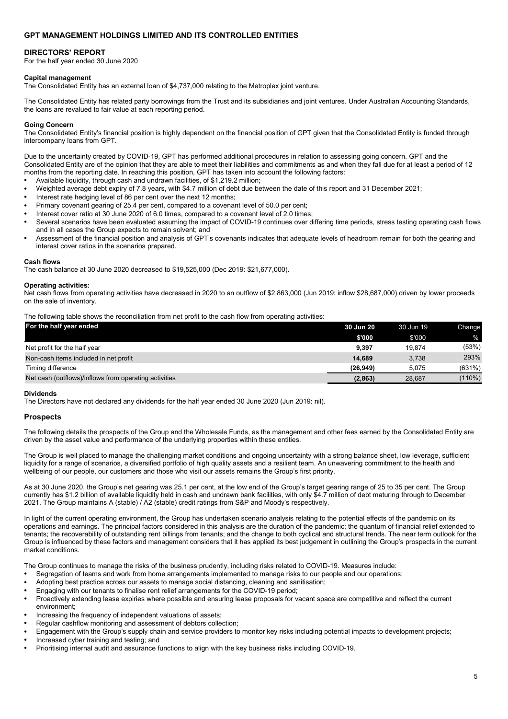#### **DIRECTORS' REPORT**

For the half year ended 30 June 2020

#### **Capital management**

The Consolidated Entity has an external loan of \$4,737,000 relating to the Metroplex joint venture.

The Consolidated Entity has related party borrowings from the Trust and its subsidiaries and joint ventures. Under Australian Accounting Standards, the loans are revalued to fair value at each reporting period.

#### **Going Concern**

The Consolidated Entity's financial position is highly dependent on the financial position of GPT given that the Consolidated Entity is funded through intercompany loans from GPT.

Due to the uncertainty created by COVID-19, GPT has performed additional procedures in relation to assessing going concern. GPT and the Consolidated Entity are of the opinion that they are able to meet their liabilities and commitments as and when they fall due for at least a period of 12 months from the reporting date. In reaching this position, GPT has taken into account the following factors:

- Available liquidity, through cash and undrawn facilities, of \$1,219.2 million;
- Weighted average debt expiry of 7.8 years, with \$4.7 million of debt due between the date of this report and 31 December 2021;
- Interest rate hedging level of 86 per cent over the next 12 months;
- Primary covenant gearing of 25.4 per cent, compared to a covenant level of 50.0 per cent;
- Interest cover ratio at 30 June 2020 of 6.0 times, compared to a covenant level of 2.0 times;<br>• Several scenarios have been evaluated assuming the impact of COVID-19 continues over d
- Several scenarios have been evaluated assuming the impact of COVID-19 continues over differing time periods, stress testing operating cash flows and in all cases the Group expects to remain solvent; and
- Assessment of the financial position and analysis of GPT's covenants indicates that adequate levels of headroom remain for both the gearing and interest cover ratios in the scenarios prepared.

#### **Cash flows**

The cash balance at 30 June 2020 decreased to \$19,525,000 (Dec 2019: \$21,677,000).

#### **Operating activities:**

Net cash flows from operating activities have decreased in 2020 to an outflow of \$2,863,000 (Jun 2019: inflow \$28,687,000) driven by lower proceeds on the sale of inventory.

The following table shows the reconciliation from net profit to the cash flow from operating activities:

| For the half year ended                               | 30 Jun 20 | 30 Jun 19 | Change |
|-------------------------------------------------------|-----------|-----------|--------|
|                                                       | \$'000    | \$'000    | $\%$   |
| Net profit for the half year                          | 9.397     | 19.874    | (53%)  |
| Non-cash items included in net profit                 | 14.689    | 3,738     | 293%   |
| Timing difference                                     | (26.949)  | 5.075     | (631%) |
| Net cash (outflows)/inflows from operating activities | (2,863)   | 28.687    | (110%) |

#### **Dividends**

The Directors have not declared any dividends for the half year ended 30 June 2020 (Jun 2019: nil).

#### **Prospects**

The following details the prospects of the Group and the Wholesale Funds, as the management and other fees earned by the Consolidated Entity are driven by the asset value and performance of the underlying properties within these entities.

The Group is well placed to manage the challenging market conditions and ongoing uncertainty with a strong balance sheet, low leverage, sufficient liquidity for a range of scenarios, a diversified portfolio of high quality assets and a resilient team. An unwavering commitment to the health and wellbeing of our people, our customers and those who visit our assets remains the Group's first priority.

As at 30 June 2020, the Group's net gearing was 25.1 per cent, at the low end of the Group's target gearing range of 25 to 35 per cent. The Group currently has \$1.2 billion of available liquidity held in cash and undrawn bank facilities, with only \$4.7 million of debt maturing through to December 2021. The Group maintains A (stable) / A2 (stable) credit ratings from S&P and Moody's respectively.

In light of the current operating environment, the Group has undertaken scenario analysis relating to the potential effects of the pandemic on its operations and earnings. The principal factors considered in this analysis are the duration of the pandemic; the quantum of financial relief extended to tenants; the recoverability of outstanding rent billings from tenants; and the change to both cyclical and structural trends. The near term outlook for the Group is influenced by these factors and management considers that it has applied its best judgement in outlining the Group's prospects in the current market conditions.

The Group continues to manage the risks of the business prudently, including risks related to COVID-19. Measures include:

- Segregation of teams and work from home arrangements implemented to manage risks to our people and our operations;
- Adopting best practice across our assets to manage social distancing, cleaning and sanitisation;
- Engaging with our tenants to finalise rent relief arrangements for the COVID-19 period;
- Proactively extending lease expiries where possible and ensuring lease proposals for vacant space are competitive and reflect the current environment;
- Increasing the frequency of independent valuations of assets;
- Regular cashflow monitoring and assessment of debtors collection;
- Engagement with the Group's supply chain and service providers to monitor key risks including potential impacts to development projects;
- Increased cyber training and testing; and
- Prioritising internal audit and assurance functions to align with the key business risks including COVID-19.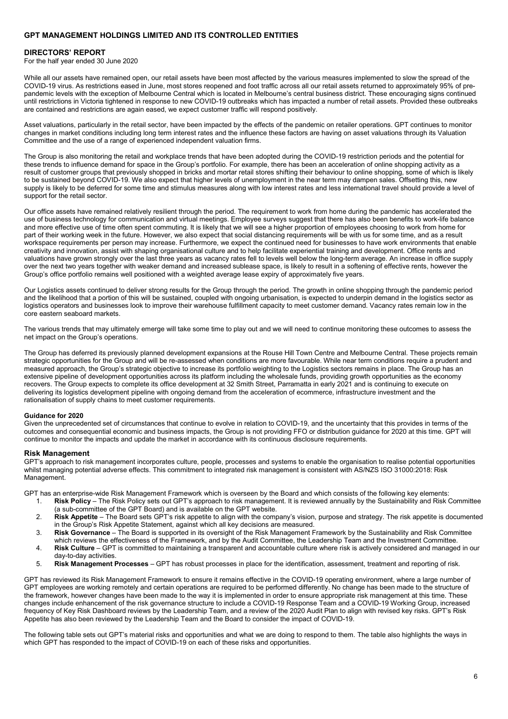#### **DIRECTORS' REPORT**

For the half year ended 30 June 2020

While all our assets have remained open, our retail assets have been most affected by the various measures implemented to slow the spread of the COVID-19 virus. As restrictions eased in June, most stores reopened and foot traffic across all our retail assets returned to approximately 95% of prepandemic levels with the exception of Melbourne Central which is located in Melbourne's central business district. These encouraging signs continued until restrictions in Victoria tightened in response to new COVID-19 outbreaks which has impacted a number of retail assets. Provided these outbreaks are contained and restrictions are again eased, we expect customer traffic will respond positively.

Asset valuations, particularly in the retail sector, have been impacted by the effects of the pandemic on retailer operations. GPT continues to monitor changes in market conditions including long term interest rates and the influence these factors are having on asset valuations through its Valuation Committee and the use of a range of experienced independent valuation firms.

The Group is also monitoring the retail and workplace trends that have been adopted during the COVID-19 restriction periods and the potential for these trends to influence demand for space in the Group's portfolio. For example, there has been an acceleration of online shopping activity as a result of customer groups that previously shopped in bricks and mortar retail stores shifting their behaviour to online shopping, some of which is likely to be sustained beyond COVID-19. We also expect that higher levels of unemployment in the near term may dampen sales. Offsetting this, new supply is likely to be deferred for some time and stimulus measures along with low interest rates and less international travel should provide a level of support for the retail sector.

Our office assets have remained relatively resilient through the period. The requirement to work from home during the pandemic has accelerated the use of business technology for communication and virtual meetings. Employee surveys suggest that there has also been benefits to work-life balance and more effective use of time often spent commuting. It is likely that we will see a higher proportion of employees choosing to work from home for part of their working week in the future. However, we also expect that social distancing requirements will be with us for some time, and as a result workspace requirements per person may increase. Furthermore, we expect the continued need for businesses to have work environments that enable creativity and innovation, assist with shaping organisational culture and to help facilitate experiential training and development. Office rents and valuations have grown strongly over the last three years as vacancy rates fell to levels well below the long-term average. An increase in office supply over the next two years together with weaker demand and increased sublease space, is likely to result in a softening of effective rents, however the Group's office portfolio remains well positioned with a weighted average lease expiry of approximately five years.

Our Logistics assets continued to deliver strong results for the Group through the period. The growth in online shopping through the pandemic period and the likelihood that a portion of this will be sustained, coupled with ongoing urbanisation, is expected to underpin demand in the logistics sector as logistics operators and businesses look to improve their warehouse fulfillment capacity to meet customer demand. Vacancy rates remain low in the core eastern seaboard markets.

The various trends that may ultimately emerge will take some time to play out and we will need to continue monitoring these outcomes to assess the net impact on the Group's operations.

The Group has deferred its previously planned development expansions at the Rouse Hill Town Centre and Melbourne Central. These projects remain strategic opportunities for the Group and will be re-assessed when conditions are more favourable. While near term conditions require a prudent and measured approach, the Group's strategic objective to increase its portfolio weighting to the Logistics sectors remains in place. The Group has an extensive pipeline of development opportunities across its platform including the wholesale funds, providing growth opportunities as the economy recovers. The Group expects to complete its office development at 32 Smith Street, Parramatta in early 2021 and is continuing to execute on delivering its logistics development pipeline with ongoing demand from the acceleration of ecommerce, infrastructure investment and the rationalisation of supply chains to meet customer requirements.

#### **Guidance for 2020**

Given the unprecedented set of circumstances that continue to evolve in relation to COVID-19, and the uncertainty that this provides in terms of the outcomes and consequential economic and business impacts, the Group is not providing FFO or distribution guidance for 2020 at this time. GPT will continue to monitor the impacts and update the market in accordance with its continuous disclosure requirements.

#### **Risk Management**

GPT's approach to risk management incorporates culture, people, processes and systems to enable the organisation to realise potential opportunities whilst managing potential adverse effects. This commitment to integrated risk management is consistent with AS/NZS ISO 31000:2018: Risk Management.

GPT has an enterprise-wide Risk Management Framework which is overseen by the Board and which consists of the following key elements:

- 1. **Risk Policy**  The Risk Policy sets out GPT's approach to risk management. It is reviewed annually by the Sustainability and Risk Committee (a sub-committee of the GPT Board) and is available on the GPT website.
- 2. **Risk Appetite**  The Board sets GPT's risk appetite to align with the company's vision, purpose and strategy. The risk appetite is documented in the Group's Risk Appetite Statement, against which all key decisions are measured.
- 3. **Risk Governance**  The Board is supported in its oversight of the Risk Management Framework by the Sustainability and Risk Committee
- which reviews the effectiveness of the Framework, and by the Audit Committee, the Leadership Team and the Investment Committee.
- 4. **Risk Culture**  GPT is committed to maintaining a transparent and accountable culture where risk is actively considered and managed in our day-to-day activities.
- 5. **Risk Management Processes**  GPT has robust processes in place for the identification, assessment, treatment and reporting of risk.

GPT has reviewed its Risk Management Framework to ensure it remains effective in the COVID-19 operating environment, where a large number of GPT employees are working remotely and certain operations are required to be performed differently. No change has been made to the structure of the framework, however changes have been made to the way it is implemented in order to ensure appropriate risk management at this time. These changes include enhancement of the risk governance structure to include a COVID-19 Response Team and a COVID-19 Working Group, increased frequency of Key Risk Dashboard reviews by the Leadership Team, and a review of the 2020 Audit Plan to align with revised key risks. GPT's Risk Appetite has also been reviewed by the Leadership Team and the Board to consider the impact of COVID-19.

The following table sets out GPT's material risks and opportunities and what we are doing to respond to them. The table also highlights the ways in which GPT has responded to the impact of COVID-19 on each of these risks and opportunities.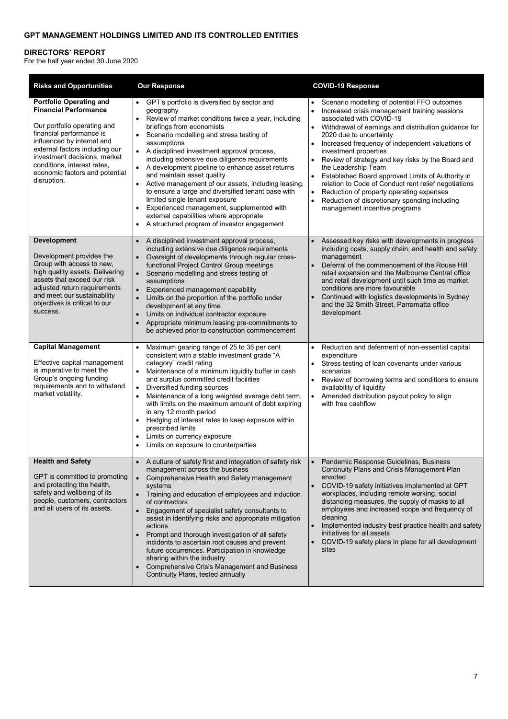### **DIRECTORS' REPORT**

For the half year ended 30 June 2020

| <b>Risks and Opportunities</b>                                                                                                                                                                                                                                                                            | <b>Our Response</b>                                                                                                                                                                                                                                                                                                                                                                                                                                                                                                                                                                                                                                                                            | <b>COVID-19 Response</b>                                                                                                                                                                                                                                                                                                                                                                                                                                                                                                                                                                                                                                                                            |
|-----------------------------------------------------------------------------------------------------------------------------------------------------------------------------------------------------------------------------------------------------------------------------------------------------------|------------------------------------------------------------------------------------------------------------------------------------------------------------------------------------------------------------------------------------------------------------------------------------------------------------------------------------------------------------------------------------------------------------------------------------------------------------------------------------------------------------------------------------------------------------------------------------------------------------------------------------------------------------------------------------------------|-----------------------------------------------------------------------------------------------------------------------------------------------------------------------------------------------------------------------------------------------------------------------------------------------------------------------------------------------------------------------------------------------------------------------------------------------------------------------------------------------------------------------------------------------------------------------------------------------------------------------------------------------------------------------------------------------------|
| <b>Portfolio Operating and</b><br><b>Financial Performance</b><br>Our portfolio operating and<br>financial performance is<br>influenced by internal and<br>external factors including our<br>investment decisions, market<br>conditions, interest rates,<br>economic factors and potential<br>disruption. | GPT's portfolio is diversified by sector and<br>geography<br>Review of market conditions twice a year, including<br>briefings from economists<br>Scenario modelling and stress testing of<br>assumptions<br>• A disciplined investment approval process,<br>including extensive due diligence requirements<br>A development pipeline to enhance asset returns<br>and maintain asset quality<br>Active management of our assets, including leasing,<br>to ensure a large and diversified tenant base with<br>limited single tenant exposure<br>Experienced management, supplemented with<br>$\bullet$<br>external capabilities where appropriate<br>A structured program of investor engagement | Scenario modelling of potential FFO outcomes<br>$\bullet$<br>Increased crisis management training sessions<br>$\bullet$<br>associated with COVID-19<br>Withdrawal of earnings and distribution guidance for<br>2020 due to uncertainty<br>Increased frequency of independent valuations of<br>$\bullet$<br>investment properties<br>Review of strategy and key risks by the Board and<br>٠<br>the Leadership Team<br>Established Board approved Limits of Authority in<br>$\bullet$<br>relation to Code of Conduct rent relief negotiations<br>Reduction of property operating expenses<br>$\bullet$<br>Reduction of discretionary spending including<br>$\bullet$<br>management incentive programs |
| <b>Development</b><br>Development provides the<br>Group with access to new,<br>high quality assets. Delivering<br>assets that exceed our risk<br>adjusted return requirements<br>and meet our sustainability<br>objectives is critical to our<br>success.                                                 | A disciplined investment approval process,<br>including extensive due diligence requirements<br>Oversight of developments through regular cross-<br>functional Project Control Group meetings<br>Scenario modelling and stress testing of<br>assumptions<br>Experienced management capability<br>Limits on the proportion of the portfolio under<br>development at any time<br>Limits on individual contractor exposure<br>$\bullet$<br>Appropriate minimum leasing pre-commitments to<br>be achieved prior to construction commencement                                                                                                                                                       | Assessed key risks with developments in progress<br>including costs, supply chain, and health and safety<br>management<br>Deferral of the commencement of the Rouse Hill<br>retail expansion and the Melbourne Central office<br>and retail development until such time as market<br>conditions are more favourable<br>Continued with logistics developments in Sydney<br>and the 32 Smith Street, Parramatta office<br>development                                                                                                                                                                                                                                                                 |
| <b>Capital Management</b><br>Effective capital management<br>is imperative to meet the<br>Group's ongoing funding<br>requirements and to withstand<br>market volatility.                                                                                                                                  | Maximum gearing range of 25 to 35 per cent<br>consistent with a stable investment grade "A<br>category" credit rating<br>Maintenance of a minimum liquidity buffer in cash<br>$\bullet$<br>and surplus committed credit facilities<br>Diversified funding sources<br>Maintenance of a long weighted average debt term,<br>with limits on the maximum amount of debt expiring<br>in any 12 month period<br>Hedging of interest rates to keep exposure within<br>prescribed limits<br>Limits on currency exposure<br>٠<br>Limits on exposure to counterparties                                                                                                                                   | Reduction and deferment of non-essential capital<br>$\bullet$<br>expenditure<br>Stress testing of loan covenants under various<br>scenarios<br>Review of borrowing terms and conditions to ensure<br>$\bullet$<br>availability of liquidity<br>Amended distribution payout policy to align<br>with free cashflow                                                                                                                                                                                                                                                                                                                                                                                    |
| <b>Health and Safety</b><br>GPT is committed to promoting<br>and protecting the health.<br>safety and wellbeing of its<br>people, customers, contractors<br>and all users of its assets.                                                                                                                  | A culture of safety first and integration of safety risk<br>management across the business<br>Comprehensive Health and Safety management<br>systems<br>Training and education of employees and induction<br>of contractors<br>Engagement of specialist safety consultants to<br>assist in identifying risks and appropriate mitigation<br>actions<br>Prompt and thorough investigation of all safety<br>incidents to ascertain root causes and prevent<br>future occurrences. Participation in knowledge<br>sharing within the industry<br><b>Comprehensive Crisis Management and Business</b><br>$\bullet$<br>Continuity Plans, tested annually                                               | Pandemic Response Guidelines, Business<br>Continuity Plans and Crisis Management Plan<br>enacted<br>COVID-19 safety initiatives implemented at GPT<br>workplaces, including remote working, social<br>distancing measures, the supply of masks to all<br>employees and increased scope and frequency of<br>cleaning<br>Implemented industry best practice health and safety<br>$\bullet$<br>initiatives for all assets<br>COVID-19 safety plans in place for all development<br>sites                                                                                                                                                                                                               |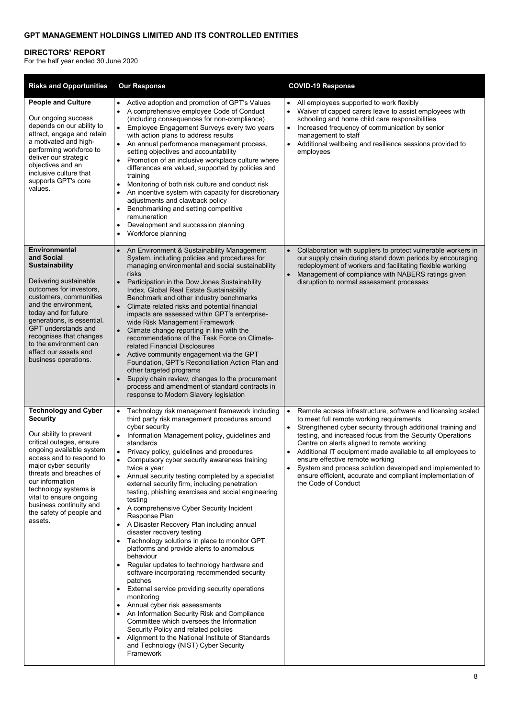### **DIRECTORS' REPORT**

For the half year ended 30 June 2020

| <b>Risks and Opportunities</b>                                                                                                                                                                                                                                                                                                                           | <b>Our Response</b>                                                                                                                                                                                                                                                                                                                                                                                                                                                                                                                                                                                                                                                                                                                                                                                                                                                                                                                                                                                                                                                                                                                                                                               | <b>COVID-19 Response</b>                                                                                                                                                                                                                                                                                                                                                                                                                                                                                                                                      |
|----------------------------------------------------------------------------------------------------------------------------------------------------------------------------------------------------------------------------------------------------------------------------------------------------------------------------------------------------------|---------------------------------------------------------------------------------------------------------------------------------------------------------------------------------------------------------------------------------------------------------------------------------------------------------------------------------------------------------------------------------------------------------------------------------------------------------------------------------------------------------------------------------------------------------------------------------------------------------------------------------------------------------------------------------------------------------------------------------------------------------------------------------------------------------------------------------------------------------------------------------------------------------------------------------------------------------------------------------------------------------------------------------------------------------------------------------------------------------------------------------------------------------------------------------------------------|---------------------------------------------------------------------------------------------------------------------------------------------------------------------------------------------------------------------------------------------------------------------------------------------------------------------------------------------------------------------------------------------------------------------------------------------------------------------------------------------------------------------------------------------------------------|
| <b>People and Culture</b><br>Our ongoing success<br>depends on our ability to<br>attract, engage and retain<br>a motivated and high-<br>performing workforce to<br>deliver our strategic<br>objectives and an<br>inclusive culture that<br>supports GPT's core<br>values.                                                                                | Active adoption and promotion of GPT's Values<br>$\bullet$<br>A comprehensive employee Code of Conduct<br>$\bullet$<br>(including consequences for non-compliance)<br>Employee Engagement Surveys every two years<br>with action plans to address results<br>An annual performance management process,<br>setting objectives and accountability<br>Promotion of an inclusive workplace culture where<br>differences are valued, supported by policies and<br>training<br>Monitoring of both risk culture and conduct risk<br>An incentive system with capacity for discretionary<br>$\bullet$<br>adjustments and clawback policy<br>Benchmarking and setting competitive<br>remuneration<br>Development and succession planning<br>٠<br>Workforce planning<br>$\bullet$                                                                                                                                                                                                                                                                                                                                                                                                                           | All employees supported to work flexibly<br>$\bullet$<br>$\bullet$<br>Waiver of capped carers leave to assist employees with<br>schooling and home child care responsibilities<br>Increased frequency of communication by senior<br>management to staff<br>Additional wellbeing and resilience sessions provided to<br>$\bullet$<br>employees                                                                                                                                                                                                                 |
| Environmental<br>and Social<br>Sustainability<br>Delivering sustainable<br>outcomes for investors,<br>customers, communities<br>and the environment,<br>today and for future<br>generations, is essential.<br>GPT understands and<br>recognises that changes<br>to the environment can<br>affect our assets and<br>business operations.                  | An Environment & Sustainability Management<br>$\bullet$<br>System, including policies and procedures for<br>managing environmental and social sustainability<br>risks<br>Participation in the Dow Jones Sustainability<br>$\bullet$<br>Index, Global Real Estate Sustainability<br>Benchmark and other industry benchmarks<br>Climate related risks and potential financial<br>impacts are assessed within GPT's enterprise-<br>wide Risk Management Framework<br>Climate change reporting in line with the<br>recommendations of the Task Force on Climate-<br>related Financial Disclosures<br>Active community engagement via the GPT<br>Foundation, GPT's Reconciliation Action Plan and<br>other targeted programs<br>Supply chain review, changes to the procurement<br>process and amendment of standard contracts in<br>response to Modern Slavery legislation                                                                                                                                                                                                                                                                                                                            | Collaboration with suppliers to protect vulnerable workers in<br>our supply chain during stand down periods by encouraging<br>redeployment of workers and facilitating flexible working<br>Management of compliance with NABERS ratings given<br>$\bullet$<br>disruption to normal assessment processes                                                                                                                                                                                                                                                       |
| <b>Technology and Cyber</b><br><b>Security</b><br>Our ability to prevent<br>critical outages, ensure<br>ongoing available system<br>access and to respond to<br>major cyber security<br>threats and breaches of<br>our information<br>technology systems is<br>vital to ensure ongoing<br>business continuity and<br>the safety of people and<br>assets. | Technology risk management framework including<br>third party risk management procedures around<br>cyber security<br>Information Management policy, guidelines and<br>standards<br>Privacy policy, guidelines and procedures<br>٠<br>Compulsory cyber security awareness training<br>twice a year<br>Annual security testing completed by a specialist<br>external security firm, including penetration<br>testing, phishing exercises and social engineering<br>testing<br>A comprehensive Cyber Security Incident<br>$\bullet$<br>Response Plan<br>• A Disaster Recovery Plan including annual<br>disaster recovery testing<br>Technology solutions in place to monitor GPT<br>platforms and provide alerts to anomalous<br>behaviour<br>Regular updates to technology hardware and<br>software incorporating recommended security<br>patches<br>External service providing security operations<br>monitoring<br>Annual cyber risk assessments<br>٠<br>An Information Security Risk and Compliance<br>Committee which oversees the Information<br>Security Policy and related policies<br>Alignment to the National Institute of Standards<br>and Technology (NIST) Cyber Security<br>Framework | Remote access infrastructure, software and licensing scaled<br>$\bullet$<br>to meet full remote working requirements<br>Strengthened cyber security through additional training and<br>$\bullet$<br>testing, and increased focus from the Security Operations<br>Centre on alerts aligned to remote working<br>Additional IT equipment made available to all employees to<br>ensure effective remote working<br>System and process solution developed and implemented to<br>ensure efficient, accurate and compliant implementation of<br>the Code of Conduct |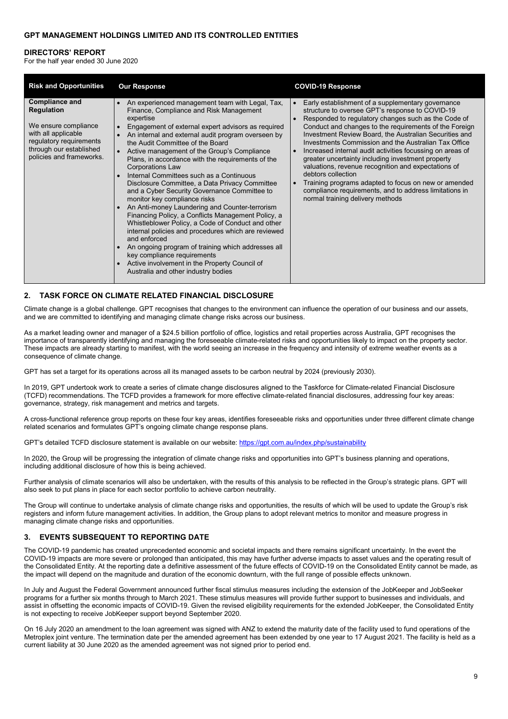#### **DIRECTORS' REPORT**

For the half year ended 30 June 2020

| <b>Risk and Opportunities</b>                                                                                                                                               | <b>Our Response</b>                                                                                                                                                                                                                                                                                                                                                                                                                                                                                                                                                                                                                                                                                                                                                                                                                                                                                                                                                                   | <b>COVID-19 Response</b>                                                                                                                                                                                                                                                                                                                                                                                                                                                                                                                                                                                                                                                                     |
|-----------------------------------------------------------------------------------------------------------------------------------------------------------------------------|---------------------------------------------------------------------------------------------------------------------------------------------------------------------------------------------------------------------------------------------------------------------------------------------------------------------------------------------------------------------------------------------------------------------------------------------------------------------------------------------------------------------------------------------------------------------------------------------------------------------------------------------------------------------------------------------------------------------------------------------------------------------------------------------------------------------------------------------------------------------------------------------------------------------------------------------------------------------------------------|----------------------------------------------------------------------------------------------------------------------------------------------------------------------------------------------------------------------------------------------------------------------------------------------------------------------------------------------------------------------------------------------------------------------------------------------------------------------------------------------------------------------------------------------------------------------------------------------------------------------------------------------------------------------------------------------|
| <b>Compliance and</b><br><b>Regulation</b><br>We ensure compliance<br>with all applicable<br>regulatory requirements<br>through our established<br>policies and frameworks. | An experienced management team with Legal, Tax,<br>Finance, Compliance and Risk Management<br>expertise<br>Engagement of external expert advisors as required<br>An internal and external audit program overseen by<br>the Audit Committee of the Board<br>Active management of the Group's Compliance<br>Plans, in accordance with the requirements of the<br><b>Corporations Law</b><br>Internal Committees such as a Continuous<br>Disclosure Committee, a Data Privacy Committee<br>and a Cyber Security Governance Committee to<br>monitor key compliance risks<br>An Anti-money Laundering and Counter-terrorism<br>Financing Policy, a Conflicts Management Policy, a<br>Whistleblower Policy, a Code of Conduct and other<br>internal policies and procedures which are reviewed<br>and enforced<br>An ongoing program of training which addresses all<br>key compliance requirements<br>Active involvement in the Property Council of<br>Australia and other industry bodies | Early establishment of a supplementary governance<br>structure to oversee GPT's response to COVID-19<br>Responded to regulatory changes such as the Code of<br>Conduct and changes to the requirements of the Foreign<br>Investment Review Board, the Australian Securities and<br>Investments Commission and the Australian Tax Office<br>Increased internal audit activities focussing on areas of<br>greater uncertainty including investment property<br>valuations, revenue recognition and expectations of<br>debtors collection<br>Training programs adapted to focus on new or amended<br>compliance requirements, and to address limitations in<br>normal training delivery methods |

### **2. TASK FORCE ON CLIMATE RELATED FINANCIAL DISCLOSURE**

Climate change is a global challenge. GPT recognises that changes to the environment can influence the operation of our business and our assets, and we are committed to identifying and managing climate change risks across our business.

As a market leading owner and manager of a \$24.5 billion portfolio of office, logistics and retail properties across Australia, GPT recognises the importance of transparently identifying and managing the foreseeable climate-related risks and opportunities likely to impact on the property sector. These impacts are already starting to manifest, with the world seeing an increase in the frequency and intensity of extreme weather events as a consequence of climate change.

GPT has set a target for its operations across all its managed assets to be carbon neutral by 2024 (previously 2030).

In 2019, GPT undertook work to create a series of climate change disclosures aligned to the Taskforce for Climate-related Financial Disclosure (TCFD) recommendations. The TCFD provides a framework for more effective climate-related financial disclosures, addressing four key areas: governance, strategy, risk management and metrics and targets.

A cross-functional reference group reports on these four key areas, identifies foreseeable risks and opportunities under three different climate change related scenarios and formulates GPT's ongoing climate change response plans.

GPT's detailed TCFD disclosure statement is available on our website[: https://gpt.com.au/index.php/sustainability](https://gpt.com.au/index.php/sustainability)

In 2020, the Group will be progressing the integration of climate change risks and opportunities into GPT's business planning and operations, including additional disclosure of how this is being achieved.

Further analysis of climate scenarios will also be undertaken, with the results of this analysis to be reflected in the Group's strategic plans. GPT will also seek to put plans in place for each sector portfolio to achieve carbon neutrality.

The Group will continue to undertake analysis of climate change risks and opportunities, the results of which will be used to update the Group's risk registers and inform future management activities. In addition, the Group plans to adopt relevant metrics to monitor and measure progress in managing climate change risks and opportunities.

### **3. EVENTS SUBSEQUENT TO REPORTING DATE**

The COVID-19 pandemic has created unprecedented economic and societal impacts and there remains significant uncertainty. In the event the COVID-19 impacts are more severe or prolonged than anticipated, this may have further adverse impacts to asset values and the operating result of the Consolidated Entity. At the reporting date a definitive assessment of the future effects of COVID-19 on the Consolidated Entity cannot be made, as the impact will depend on the magnitude and duration of the economic downturn, with the full range of possible effects unknown.

In July and August the Federal Government announced further fiscal stimulus measures including the extension of the JobKeeper and JobSeeker programs for a further six months through to March 2021. These stimulus measures will provide further support to businesses and individuals, and assist in offsetting the economic impacts of COVID-19. Given the revised eligibility requirements for the extended JobKeeper, the Consolidated Entity is not expecting to receive JobKeeper support beyond September 2020.

On 16 July 2020 an amendment to the loan agreement was signed with ANZ to extend the maturity date of the facility used to fund operations of the Metroplex joint venture. The termination date per the amended agreement has been extended by one year to 17 August 2021. The facility is held as a current liability at 30 June 2020 as the amended agreement was not signed prior to period end.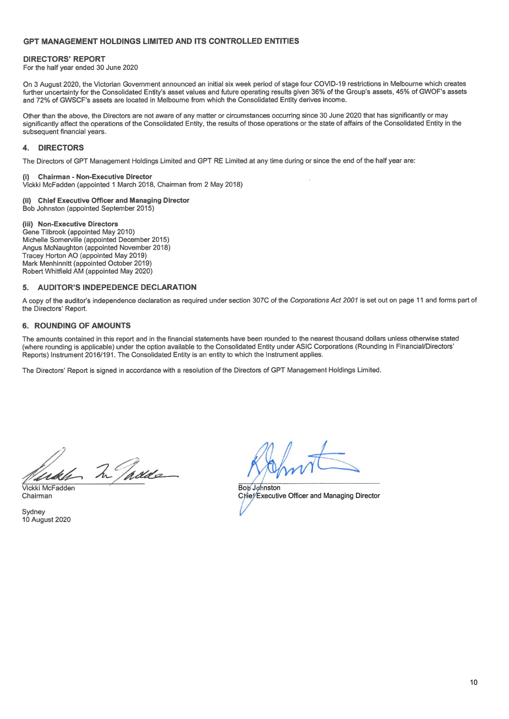#### **DIRECTORS' REPORT**

For the half year ended 30 June 2020

On 3 August 2020, the Victorian Government announced an initial six week period of stage four COVID-19 restrictions in Melbourne which creates further uncertainty for the Consolidated Entity's asset values and future operating results given 36% of the Group's assets, 45% of GWOF's assets and 72% of GWSCF's assets are located in Melbourne from which the Consolidated Entity derives income.

Other than the above, the Directors are not aware of any matter or circumstances occurring since 30 June 2020 that has significantly or may significantly affect the operations of the Consolidated Entity, the results of those operations or the state of affairs of the Consolidated Entity in the subsequent financial years.

#### **DIRECTORS**  $\mathbf{4}$

The Directors of GPT Management Holdings Limited and GPT RE Limited at any time during or since the end of the half year are:

#### **Chairman - Non-Executive Director**

Vickki McFadden (appointed 1 March 2018, Chairman from 2 May 2018)

#### **Chief Executive Officer and Managing Director**  $(i)$

Bob Johnston (appointed September 2015)

#### (iii) Non-Executive Directors

Gene Tilbrook (appointed May 2010) Michelle Somerville (appointed December 2015) Angus McNaughton (appointed November 2018) Tracey Horton AO (appointed May 2019) Mark Menhinnitt (appointed October 2019) Robert Whitfield AM (appointed May 2020)

#### **AUDITOR'S INDEPEDENCE DECLARATION** 5.

A copy of the auditor's independence declaration as required under section 307C of the Corporations Act 2001 is set out on page 11 and forms part of the Directors' Report.

#### **6. ROUNDING OF AMOUNTS**

The amounts contained in this report and in the financial statements have been rounded to the nearest thousand dollars unless otherwise stated (where rounding is applicable) under the option available to the Consolidated Entity under ASIC Corporations (Rounding in Financial/Directors' Reports) Instrument 2016/191. The Consolidated Entity is an entity to which the Instrument applies.

The Directors' Report is signed in accordance with a resolution of the Directors of GPT Management Holdings Limited.

Gukhar In Padde

Vickki McFadden Chairman

Sydney 10 August 2020

**Bob** Johnston Chief Executive Officer and Managing Director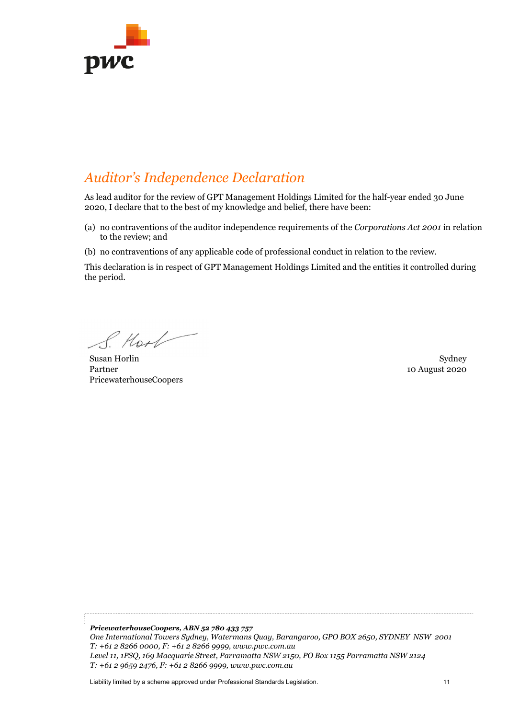

# *Auditor's Independence Declaration*

As lead auditor for the review of GPT Management Holdings Limited for the half-year ended 30 June 2020, I declare that to the best of my knowledge and belief, there have been:

- (a) no contraventions of the auditor independence requirements of the *Corporations Act 2001* in relation to the review; and
- (b) no contraventions of any applicable code of professional conduct in relation to the review.

This declaration is in respect of GPT Management Holdings Limited and the entities it controlled during the period.

S. Hook

Susan Horlin Sydney Partner PricewaterhouseCoopers

10 August 2020

*PricewaterhouseCoopers, ABN 52 780 433 757 One International Towers Sydney, Watermans Quay, Barangaroo, GPO BOX 2650, SYDNEY NSW 2001 T: +61 2 8266 0000, F: +61 2 8266 9999, www.pwc.com.au Level 11, 1PSQ, 169 Macquarie Street, Parramatta NSW 2150, PO Box 1155 Parramatta NSW 2124 T: +61 2 9659 2476, F: +61 2 8266 9999, www.pwc.com.au* 

Liability limited by a scheme approved under Professional Standards Legislation. 11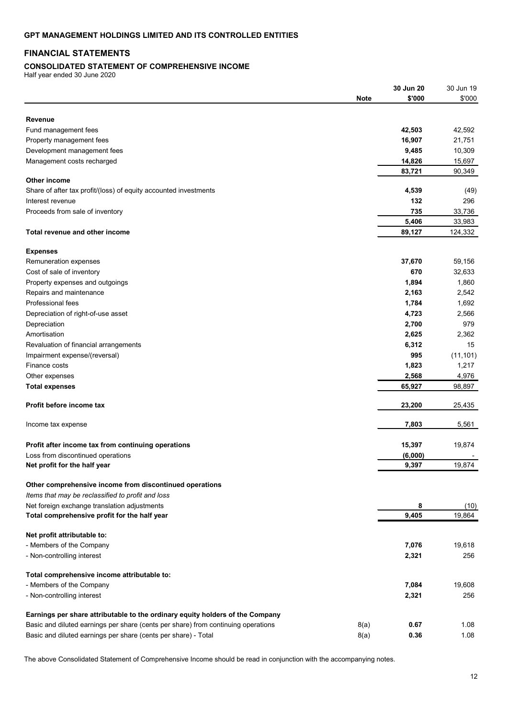### **FINANCIAL STATEMENTS**

## **CONSOLIDATED STATEMENT OF COMPREHENSIVE INCOME**

Half year ended 30 June 2020

|                                                                                   |             | 30 Jun 20       | 30 Jun 19         |
|-----------------------------------------------------------------------------------|-------------|-----------------|-------------------|
|                                                                                   | <b>Note</b> | \$'000          | \$'000            |
|                                                                                   |             |                 |                   |
| Revenue                                                                           |             |                 |                   |
| Fund management fees                                                              |             | 42,503          | 42,592            |
| Property management fees                                                          |             | 16,907          | 21,751            |
| Development management fees                                                       |             | 9,485           | 10,309            |
| Management costs recharged                                                        |             | 14,826          | 15,697            |
|                                                                                   |             | 83,721          | 90,349            |
| Other income                                                                      |             |                 |                   |
| Share of after tax profit/(loss) of equity accounted investments                  |             | 4,539           | (49)              |
| Interest revenue                                                                  |             | 132             | 296               |
| Proceeds from sale of inventory                                                   |             | 735             | 33,736            |
| Total revenue and other income                                                    |             | 5,406<br>89,127 | 33,983<br>124,332 |
|                                                                                   |             |                 |                   |
| <b>Expenses</b>                                                                   |             |                 |                   |
| Remuneration expenses                                                             |             | 37,670          | 59,156            |
| Cost of sale of inventory                                                         |             | 670             | 32,633            |
| Property expenses and outgoings                                                   |             | 1,894           | 1,860             |
| Repairs and maintenance                                                           |             | 2,163           | 2,542             |
| Professional fees                                                                 |             | 1,784           | 1,692             |
| Depreciation of right-of-use asset                                                |             | 4,723           | 2,566             |
| Depreciation                                                                      |             | 2,700           | 979               |
| Amortisation                                                                      |             | 2,625           | 2,362             |
| Revaluation of financial arrangements                                             |             | 6,312           | 15                |
| Impairment expense/(reversal)                                                     |             | 995             | (11, 101)         |
| Finance costs                                                                     |             | 1,823           | 1,217             |
| Other expenses                                                                    |             | 2,568           | 4,976             |
| <b>Total expenses</b>                                                             |             | 65,927          | 98,897            |
|                                                                                   |             |                 |                   |
| Profit before income tax                                                          |             | 23,200          | 25,435            |
| Income tax expense                                                                |             | 7,803           | 5,561             |
| Profit after income tax from continuing operations                                |             | 15,397          | 19,874            |
| Loss from discontinued operations                                                 |             | (6,000)         |                   |
| Net profit for the half year                                                      |             | 9.397           | 19,874            |
|                                                                                   |             |                 |                   |
| Other comprehensive income from discontinued operations                           |             |                 |                   |
| Items that may be reclassified to profit and loss                                 |             |                 |                   |
| Net foreign exchange translation adjustments                                      |             | 8               | (10)              |
| Total comprehensive profit for the half year                                      |             | 9,405           | 19,864            |
| Net profit attributable to:                                                       |             |                 |                   |
| - Members of the Company                                                          |             | 7,076           | 19,618            |
| - Non-controlling interest                                                        |             | 2,321           | 256               |
| Total comprehensive income attributable to:                                       |             |                 |                   |
| - Members of the Company                                                          |             | 7,084           | 19,608            |
| - Non-controlling interest                                                        |             | 2,321           | 256               |
|                                                                                   |             |                 |                   |
| Earnings per share attributable to the ordinary equity holders of the Company     |             |                 |                   |
| Basic and diluted earnings per share (cents per share) from continuing operations | 8(a)        | 0.67            | 1.08              |
| Basic and diluted earnings per share (cents per share) - Total                    | 8(a)        | 0.36            | 1.08              |

The above Consolidated Statement of Comprehensive Income should be read in conjunction with the accompanying notes.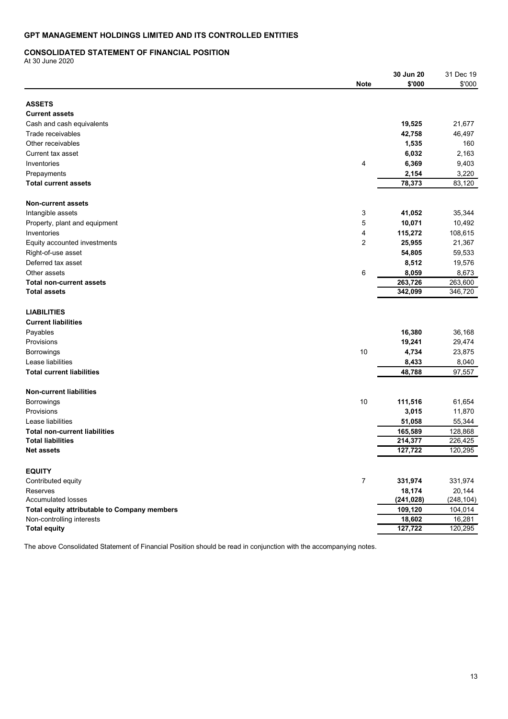### **CONSOLIDATED STATEMENT OF FINANCIAL POSITION**

At 30 June 2020

|                                              |                  | 30 Jun 20  | 31 Dec 19  |
|----------------------------------------------|------------------|------------|------------|
|                                              | <b>Note</b>      | \$'000     | \$'000     |
|                                              |                  |            |            |
| <b>ASSETS</b>                                |                  |            |            |
| <b>Current assets</b>                        |                  |            |            |
| Cash and cash equivalents                    |                  | 19,525     | 21,677     |
| Trade receivables                            |                  | 42,758     | 46,497     |
| Other receivables                            |                  | 1,535      | 160        |
| Current tax asset                            |                  | 6,032      | 2,163      |
| Inventories                                  | 4                | 6,369      | 9,403      |
| Prepayments                                  |                  | 2,154      | 3,220      |
| <b>Total current assets</b>                  |                  | 78,373     | 83,120     |
| <b>Non-current assets</b>                    |                  |            |            |
| Intangible assets                            | 3                | 41,052     | 35,344     |
| Property, plant and equipment                | 5                | 10,071     | 10,492     |
| Inventories                                  | 4                | 115,272    | 108,615    |
| Equity accounted investments                 | 2                | 25,955     | 21,367     |
| Right-of-use asset                           |                  | 54,805     | 59,533     |
| Deferred tax asset                           |                  | 8,512      | 19,576     |
| Other assets                                 | 6                | 8,059      | 8,673      |
| <b>Total non-current assets</b>              |                  | 263,726    | 263,600    |
| <b>Total assets</b>                          |                  | 342,099    | 346,720    |
|                                              |                  |            |            |
| <b>LIABILITIES</b>                           |                  |            |            |
| <b>Current liabilities</b>                   |                  |            |            |
| Payables                                     |                  | 16,380     | 36,168     |
| Provisions                                   |                  | 19,241     | 29,474     |
| <b>Borrowings</b>                            | 10               | 4,734      | 23,875     |
| Lease liabilities                            |                  | 8,433      | 8,040      |
| <b>Total current liabilities</b>             |                  | 48,788     | 97,557     |
|                                              |                  |            |            |
| <b>Non-current liabilities</b>               |                  |            |            |
| <b>Borrowings</b>                            | 10               | 111,516    | 61,654     |
| Provisions                                   |                  | 3,015      | 11,870     |
| Lease liabilities                            |                  | 51,058     | 55,344     |
| <b>Total non-current liabilities</b>         |                  | 165,589    | 128,868    |
| <b>Total liabilities</b>                     |                  | 214,377    | 226,425    |
| <b>Net assets</b>                            |                  | 127,722    | 120,295    |
| <b>EQUITY</b>                                |                  |            |            |
| Contributed equity                           | $\boldsymbol{7}$ | 331,974    | 331,974    |
| Reserves                                     |                  | 18,174     | 20,144     |
| <b>Accumulated losses</b>                    |                  | (241, 028) | (248, 104) |
| Total equity attributable to Company members |                  | 109,120    | 104,014    |
| Non-controlling interests                    |                  | 18,602     | 16,281     |
| <b>Total equity</b>                          |                  | 127,722    | 120,295    |
|                                              |                  |            |            |

The above Consolidated Statement of Financial Position should be read in conjunction with the accompanying notes.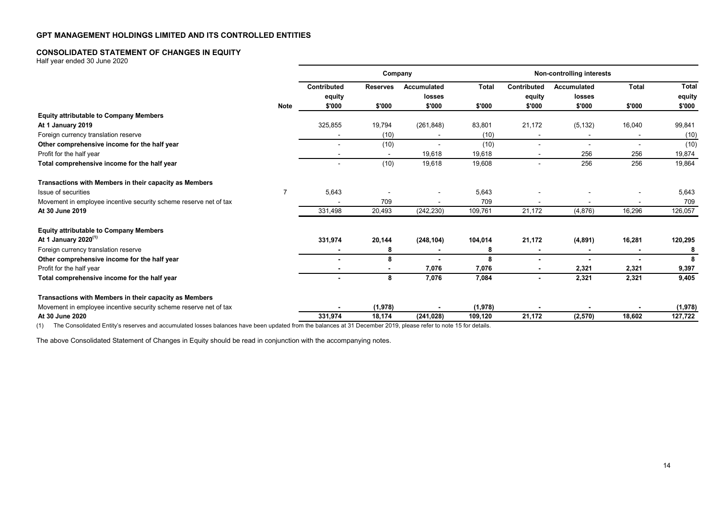### **CONSOLIDATED STATEMENT OF CHANGES IN EQUITY**

Half year ended 30 June 2020

|                                                                         |             |                          | Company         |                                                                          |              |             | Non-controlling interests |                          |              |
|-------------------------------------------------------------------------|-------------|--------------------------|-----------------|--------------------------------------------------------------------------|--------------|-------------|---------------------------|--------------------------|--------------|
|                                                                         |             | <b>Contributed</b>       | <b>Reserves</b> | Accumulated                                                              | <b>Total</b> | Contributed | <b>Accumulated</b>        | <b>Total</b>             | <b>Total</b> |
|                                                                         |             | equity                   |                 | losses                                                                   |              | equity      | losses                    |                          | equity       |
|                                                                         | <b>Note</b> | \$'000                   | \$'000          | \$'000                                                                   | \$'000       | \$'000      | \$'000                    | \$'000                   | \$'000       |
| <b>Equity attributable to Company Members</b>                           |             |                          |                 |                                                                          |              |             |                           |                          |              |
| At 1 January 2019                                                       |             | 325,855                  | 19,794          | (261, 848)                                                               | 83,801       | 21,172      | (5, 132)                  | 16,040                   | 99,841       |
| Foreign currency translation reserve                                    |             |                          | (10)            |                                                                          | (10)         |             |                           | $\overline{\phantom{a}}$ | (10)         |
| Other comprehensive income for the half year                            |             | $\overline{\phantom{a}}$ | (10)            | $\overline{\phantom{a}}$                                                 | (10)         |             |                           | $\blacksquare$           | (10)         |
| Profit for the half year                                                |             |                          |                 | 19,618                                                                   | 19,618       |             | 256                       | 256                      | 19,874       |
| Total comprehensive income for the half year                            |             |                          | (10)            | 19,618                                                                   | 19,608       |             | 256                       | 256                      | 19,864       |
| Transactions with Members in their capacity as Members                  |             |                          |                 |                                                                          |              |             |                           |                          |              |
| Issue of securities                                                     |             | 5,643                    |                 |                                                                          | 5,643        |             |                           |                          | 5,643        |
| Movement in employee incentive security scheme reserve net of tax       |             |                          | 709             |                                                                          | 709          |             |                           |                          | 709          |
| At 30 June 2019                                                         |             | 331,498                  | 20,493          | (242, 230)                                                               | 109,761      | 21,172      | (4,876)                   | 16,296                   | 126,057      |
| <b>Equity attributable to Company Members</b>                           |             |                          |                 |                                                                          |              |             |                           |                          |              |
| At 1 January 2020 <sup>(1)</sup>                                        |             | 331,974                  | 20,144          | (248, 104)                                                               | 104,014      | 21,172      | (4,891)                   | 16,281                   | 120,295      |
| Foreign currency translation reserve                                    |             |                          | 8               |                                                                          | 8            |             |                           |                          | 8            |
| Other comprehensive income for the half year                            |             |                          | 8               |                                                                          | 8            |             |                           |                          | -8           |
| Profit for the half year                                                |             |                          |                 | 7,076                                                                    | 7,076        |             | 2,321                     | 2,321                    | 9,397        |
| Total comprehensive income for the half year                            |             |                          | 8               | 7,076                                                                    | 7,084        |             | 2,321                     | 2,321                    | 9,405        |
| Transactions with Members in their capacity as Members                  |             |                          |                 |                                                                          |              |             |                           |                          |              |
| Movement in employee incentive security scheme reserve net of tax       |             |                          | (1,978)         |                                                                          | (1,978)      |             |                           |                          | (1,978)      |
| At 30 June 2020                                                         |             | 331,974                  | 18,174          | (241, 028)                                                               | 109,120      | 21,172      | (2,570)                   | 18,602                   | 127,722      |
| The Censelidated Entitude reserves and accumulated lesses heleness have |             |                          |                 | un the holopeen at 24 December 2040, please refer to pate 45 for details |              |             |                           |                          |              |

(1) The Consolidated Entity's reserves and accumulated losses balances have been updated from the balances at 31 December 2019, please refer to note 15 for details.

The above Consolidated Statement of Changes in Equity should be read in conjunction with the accompanying notes.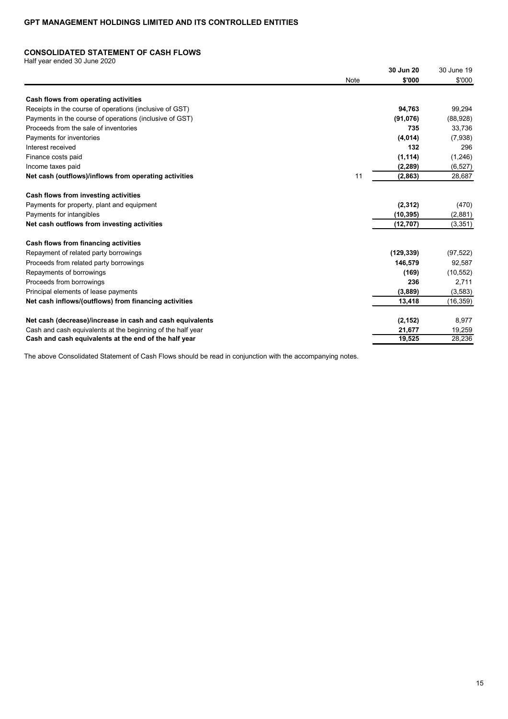### **CONSOLIDATED STATEMENT OF CASH FLOWS**

Half year ended 30 June 2020

|                                                             |      | 30 Jun 20  | 30 June 19 |
|-------------------------------------------------------------|------|------------|------------|
|                                                             | Note | \$'000     | \$'000     |
| Cash flows from operating activities                        |      |            |            |
| Receipts in the course of operations (inclusive of GST)     |      | 94,763     | 99,294     |
| Payments in the course of operations (inclusive of GST)     |      | (91, 076)  | (88,928)   |
| Proceeds from the sale of inventories                       |      | 735        | 33,736     |
| Payments for inventories                                    |      | (4,014)    | (7,938)    |
| Interest received                                           |      | 132        | 296        |
| Finance costs paid                                          |      | (1, 114)   | (1,246)    |
| Income taxes paid                                           |      | (2, 289)   | (6, 527)   |
| Net cash (outflows)/inflows from operating activities       | 11   | (2,863)    | 28,687     |
| Cash flows from investing activities                        |      |            |            |
| Payments for property, plant and equipment                  |      | (2,312)    | (470)      |
| Payments for intangibles                                    |      | (10, 395)  | (2,881)    |
| Net cash outflows from investing activities                 |      | (12, 707)  | (3, 351)   |
| Cash flows from financing activities                        |      |            |            |
| Repayment of related party borrowings                       |      | (129, 339) | (97, 522)  |
| Proceeds from related party borrowings                      |      | 146,579    | 92,587     |
| Repayments of borrowings                                    |      | (169)      | (10, 552)  |
| Proceeds from borrowings                                    |      | 236        | 2,711      |
| Principal elements of lease payments                        |      | (3,889)    | (3, 583)   |
| Net cash inflows/(outflows) from financing activities       |      | 13,418     | (16, 359)  |
| Net cash (decrease)/increase in cash and cash equivalents   |      | (2, 152)   | 8,977      |
| Cash and cash equivalents at the beginning of the half year |      | 21,677     | 19,259     |
| Cash and cash equivalents at the end of the half year       |      | 19,525     | 28,236     |

The above Consolidated Statement of Cash Flows should be read in conjunction with the accompanying notes.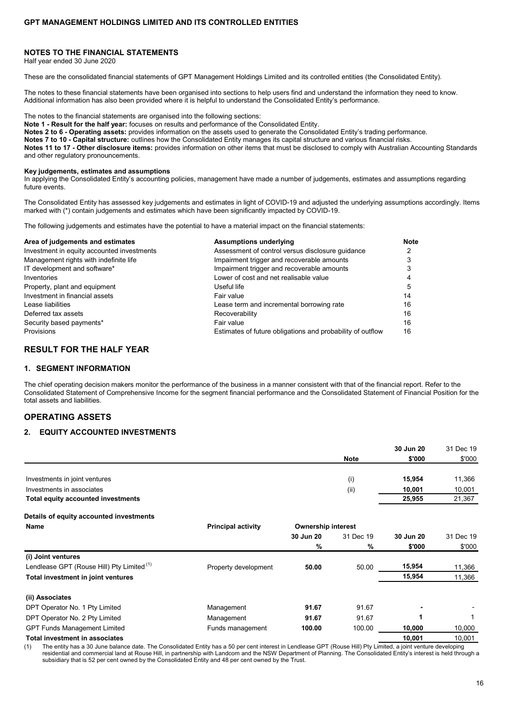#### **NOTES TO THE FINANCIAL STATEMENTS**

Half year ended 30 June 2020

These are the consolidated financial statements of GPT Management Holdings Limited and its controlled entities (the Consolidated Entity).

The notes to these financial statements have been organised into sections to help users find and understand the information they need to know. Additional information has also been provided where it is helpful to understand the Consolidated Entity's performance.

The notes to the financial statements are organised into the following sections:

**Note 1 - Result for the half year:** focuses on results and performance of the Consolidated Entity.

**Notes 2 to 6 - Operating assets:** provides information on the assets used to generate the Consolidated Entity's trading performance.

**Notes 7 to 10 - Capital structure:** outlines how the Consolidated Entity manages its capital structure and various financial risks.

**Notes 11 to 17 - Other disclosure items:** provides information on other items that must be disclosed to comply with Australian Accounting Standards and other regulatory pronouncements.

#### **Key judgements, estimates and assumptions**

In applying the Consolidated Entity's accounting policies, management have made a number of judgements, estimates and assumptions regarding future events.

The Consolidated Entity has assessed key judgements and estimates in light of COVID-19 and adjusted the underlying assumptions accordingly. Items marked with (\*) contain judgements and estimates which have been significantly impacted by COVID-19.

The following judgements and estimates have the potential to have a material impact on the financial statements:

| Area of judgements and estimates           | <b>Assumptions underlying</b>                              | <b>Note</b> |
|--------------------------------------------|------------------------------------------------------------|-------------|
| Investment in equity accounted investments | Assessment of control versus disclosure guidance           |             |
| Management rights with indefinite life     | Impairment trigger and recoverable amounts                 |             |
| IT development and software*               | Impairment trigger and recoverable amounts                 |             |
| Inventories                                | Lower of cost and net realisable value                     |             |
| Property, plant and equipment              | Useful life                                                |             |
| Investment in financial assets             | Fair value                                                 | 14          |
| Lease liabilities                          | Lease term and incremental borrowing rate                  | 16          |
| Deferred tax assets                        | Recoverability                                             | 16          |
| Security based payments*                   | Fair value                                                 | 16          |
| Provisions                                 | Estimates of future obligations and probability of outflow | 16          |

### **RESULT FOR THE HALF YEAR**

#### **1. SEGMENT INFORMATION**

The chief operating decision makers monitor the performance of the business in a manner consistent with that of the financial report. Refer to the Consolidated Statement of Comprehensive Income for the segment financial performance and the Consolidated Statement of Financial Position for the total assets and liabilities.

### **OPERATING ASSETS**

### **2. EQUITY ACCOUNTED INVESTMENTS**

|                                                       |                           |                           |             | 30 Jun 20 | 31 Dec 19 |
|-------------------------------------------------------|---------------------------|---------------------------|-------------|-----------|-----------|
|                                                       |                           |                           | <b>Note</b> | \$'000    | \$'000    |
|                                                       |                           |                           |             |           |           |
| Investments in joint ventures                         |                           |                           | (i)         | 15,954    | 11,366    |
| Investments in associates                             |                           |                           | (ii)        | 10,001    | 10,001    |
| <b>Total equity accounted investments</b>             |                           |                           |             | 25,955    | 21,367    |
| Details of equity accounted investments               |                           |                           |             |           |           |
| <b>Name</b>                                           | <b>Principal activity</b> | <b>Ownership interest</b> |             |           |           |
|                                                       |                           | 30 Jun 20                 | 31 Dec 19   | 30 Jun 20 | 31 Dec 19 |
|                                                       |                           | $\%$                      | %           | \$'000    | \$'000    |
| (i) Joint ventures                                    |                           |                           |             |           |           |
| Lendlease GPT (Rouse Hill) Pty Limited <sup>(1)</sup> | Property development      | 50.00                     | 50.00       | 15,954    | 11,366    |
| Total investment in joint ventures                    |                           |                           |             | 15,954    | 11,366    |
| (ii) Associates                                       |                           |                           |             |           |           |
| DPT Operator No. 1 Pty Limited                        | Management                | 91.67                     | 91.67       |           |           |
| DPT Operator No. 2 Pty Limited                        | Management                | 91.67                     | 91.67       |           |           |
| <b>GPT Funds Management Limited</b>                   | Funds management          | 100.00                    | 100.00      | 10,000    | 10,000    |
| Total investment in associates                        |                           |                           |             | 10,001    | 10,001    |

(1) The entity has a 30 June balance date. The Consolidated Entity has a 50 per cent interest in Lendlease GPT (Rouse Hill) Pty Limited, a joint venture developing residential and commercial land at Rouse Hill, in partnership with Landcom and the NSW Department of Planning. The Consolidated Entity's interest is held through a subsidiary that is 52 per cent owned by the Consolidated Entity and 48 per cent owned by the Trust.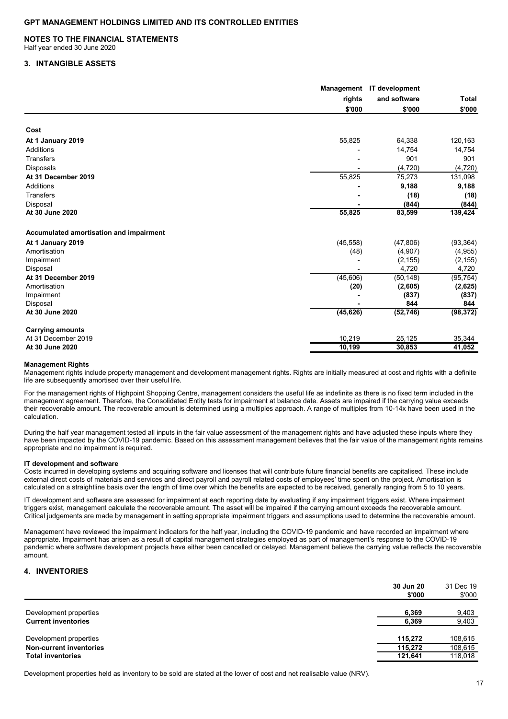#### **NOTES TO THE FINANCIAL STATEMENTS**

Half year ended 30 June 2020

### **3. INTANGIBLE ASSETS**

|                                         |           | IT development<br>Management<br>and software<br>rights | <b>Total</b> |
|-----------------------------------------|-----------|--------------------------------------------------------|--------------|
|                                         |           |                                                        |              |
|                                         | \$'000    | \$'000                                                 | \$'000       |
| Cost                                    |           |                                                        |              |
| At 1 January 2019                       | 55,825    | 64,338                                                 | 120,163      |
| <b>Additions</b>                        |           | 14,754                                                 | 14,754       |
| <b>Transfers</b>                        |           | 901                                                    | 901          |
| <b>Disposals</b>                        |           | (4, 720)                                               | (4, 720)     |
| At 31 December 2019                     | 55,825    | 75,273                                                 | 131,098      |
| <b>Additions</b>                        |           | 9,188                                                  | 9,188        |
| <b>Transfers</b>                        |           | (18)                                                   | (18)         |
| Disposal                                |           | (844)                                                  | (844)        |
| At 30 June 2020                         | 55,825    | 83,599                                                 | 139,424      |
| Accumulated amortisation and impairment |           |                                                        |              |
| At 1 January 2019                       | (45, 558) | (47, 806)                                              | (93, 364)    |
| Amortisation                            | (48)      | (4,907)                                                | (4,955)      |
| Impairment                              |           | (2, 155)                                               | (2, 155)     |
| Disposal                                |           | 4,720                                                  | 4,720        |
| At 31 December 2019                     | (45,606)  | (50, 148)                                              | (95, 754)    |
| Amortisation                            | (20)      | (2,605)                                                | (2,625)      |
| Impairment                              |           | (837)                                                  | (837)        |
| Disposal                                |           | 844                                                    | 844          |
| At 30 June 2020                         | (45, 626) | (52, 746)                                              | (98, 372)    |
| <b>Carrying amounts</b>                 |           |                                                        |              |
| At 31 December 2019                     | 10,219    | 25,125                                                 | 35,344       |
| At 30 June 2020                         | 10,199    | 30,853                                                 | 41,052       |

#### **Management Rights**

Management rights include property management and development management rights. Rights are initially measured at cost and rights with a definite life are subsequently amortised over their useful life.

For the management rights of Highpoint Shopping Centre, management considers the useful life as indefinite as there is no fixed term included in the management agreement. Therefore, the Consolidated Entity tests for impairment at balance date. Assets are impaired if the carrying value exceeds their recoverable amount. The recoverable amount is determined using a multiples approach. A range of multiples from 10-14x have been used in the calculation.

During the half year management tested all inputs in the fair value assessment of the management rights and have adjusted these inputs where they have been impacted by the COVID-19 pandemic. Based on this assessment management believes that the fair value of the management rights remains appropriate and no impairment is required.

#### **IT development and software**

Costs incurred in developing systems and acquiring software and licenses that will contribute future financial benefits are capitalised. These include external direct costs of materials and services and direct payroll and payroll related costs of employees' time spent on the project. Amortisation is calculated on a straightline basis over the length of time over which the benefits are expected to be received, generally ranging from 5 to 10 years.

IT development and software are assessed for impairment at each reporting date by evaluating if any impairment triggers exist. Where impairment triggers exist, management calculate the recoverable amount. The asset will be impaired if the carrying amount exceeds the recoverable amount. Critical judgements are made by management in setting appropriate impairment triggers and assumptions used to determine the recoverable amount.

Management have reviewed the impairment indicators for the half year, including the COVID-19 pandemic and have recorded an impairment where appropriate. Impairment has arisen as a result of capital management strategies employed as part of management's response to the COVID-19 pandemic where software development projects have either been cancelled or delayed. Management believe the carrying value reflects the recoverable amount.

#### **4. INVENTORIES**

|                                | 30 Jun 20<br>\$'000 | 31 Dec 19<br>\$'000 |
|--------------------------------|---------------------|---------------------|
| Development properties         | 6,369               | 9,403               |
| <b>Current inventories</b>     | 6,369               | 9,403               |
| Development properties         | 115,272             | 108,615             |
| <b>Non-current inventories</b> | 115.272             | 108,615             |
| <b>Total inventories</b>       | 121,641             | 118,018             |

Development properties held as inventory to be sold are stated at the lower of cost and net realisable value (NRV).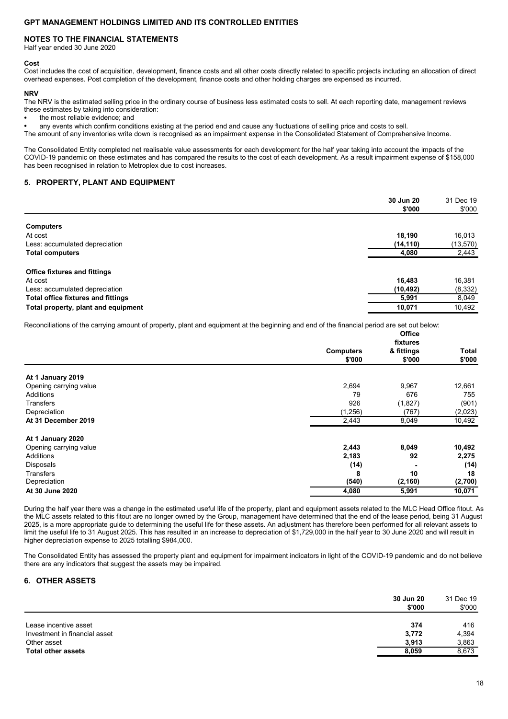#### **NOTES TO THE FINANCIAL STATEMENTS**

Half year ended 30 June 2020

#### **Cost**

Cost includes the cost of acquisition, development, finance costs and all other costs directly related to specific projects including an allocation of direct overhead expenses. Post completion of the development, finance costs and other holding charges are expensed as incurred.

#### **NRV**

The NRV is the estimated selling price in the ordinary course of business less estimated costs to sell. At each reporting date, management reviews these estimates by taking into consideration:

the most reliable evidence; and

• any events which confirm conditions existing at the period end and cause any fluctuations of selling price and costs to sell.

The amount of any inventories write down is recognised as an impairment expense in the Consolidated Statement of Comprehensive Income.

The Consolidated Entity completed net realisable value assessments for each development for the half year taking into account the impacts of the COVID-19 pandemic on these estimates and has compared the results to the cost of each development. As a result impairment expense of \$158,000 has been recognised in relation to Metroplex due to cost increases.

### **5. PROPERTY, PLANT AND EQUIPMENT**

|                                     | 30 Jun 20<br>\$'000 | 31 Dec 19<br>\$'000 |
|-------------------------------------|---------------------|---------------------|
| <b>Computers</b>                    |                     |                     |
| At cost                             | 18.190              | 16.013              |
| Less: accumulated depreciation      | (14, 110)           | (13,570)            |
| <b>Total computers</b>              | 4,080               | 2,443               |
| <b>Office fixtures and fittings</b> |                     |                     |
| At cost                             | 16.483              | 16,381              |
| Less: accumulated depreciation      | (10, 492)           | (8,332)             |
| Total office fixtures and fittings  | 5,991               | 8,049               |
| Total property, plant and equipment | 10,071              | 10,492              |

Reconciliations of the carrying amount of property, plant and equipment at the beginning and end of the financial period are set out below:

|                        |                  | Office<br>fixtures |         |  |
|------------------------|------------------|--------------------|---------|--|
|                        | <b>Computers</b> | & fittings         | Total   |  |
|                        | \$'000           | \$'000             | \$'000  |  |
| At 1 January 2019      |                  |                    |         |  |
| Opening carrying value | 2,694            | 9,967              | 12,661  |  |
| Additions              | 79               | 676                | 755     |  |
| <b>Transfers</b>       | 926              | (1,827)            | (901)   |  |
| Depreciation           | (1, 256)         | (767)              | (2,023) |  |
| At 31 December 2019    | 2,443            | 8,049              | 10,492  |  |
| At 1 January 2020      |                  |                    |         |  |
| Opening carrying value | 2,443            | 8,049              | 10,492  |  |
| Additions              | 2,183            | 92                 | 2,275   |  |
| Disposals              | (14)             |                    | (14)    |  |
| <b>Transfers</b>       | 8                | 10                 | 18      |  |
| Depreciation           | (540)            | (2, 160)           | (2,700) |  |
| At 30 June 2020        | 4,080            | 5,991              | 10,071  |  |

During the half year there was a change in the estimated useful life of the property, plant and equipment assets related to the MLC Head Office fitout. As the MLC assets related to this fitout are no longer owned by the Group, management have determined that the end of the lease period, being 31 August 2025, is a more appropriate guide to determining the useful life for these assets. An adjustment has therefore been performed for all relevant assets to limit the useful life to 31 August 2025. This has resulted in an increase to depreciation of \$1,729,000 in the half year to 30 June 2020 and will result in higher depreciation expense to 2025 totalling \$984,000.

The Consolidated Entity has assessed the property plant and equipment for impairment indicators in light of the COVID-19 pandemic and do not believe there are any indicators that suggest the assets may be impaired.

#### **6. OTHER ASSETS**

|                                              | 30 Jun 20<br>\$'000 | 31 Dec 19<br>\$'000 |
|----------------------------------------------|---------------------|---------------------|
| Lease incentive asset                        | 374                 | 416                 |
| Investment in financial asset<br>Other asset | 3,772<br>3,913      | 4,394<br>3,863      |
| <b>Total other assets</b>                    | 8.059               | 8,673               |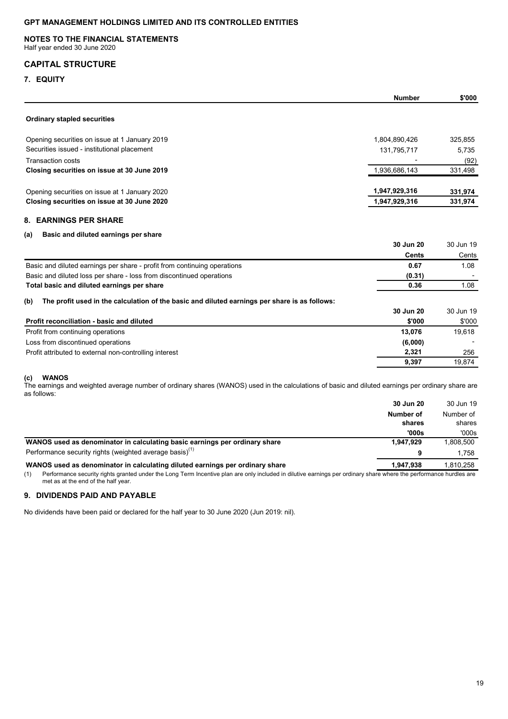### **NOTES TO THE FINANCIAL STATEMENTS**

Half year ended 30 June 2020

### **CAPITAL STRUCTURE**

**7. EQUITY**

|                                               | <b>Number</b> | \$'000  |
|-----------------------------------------------|---------------|---------|
| <b>Ordinary stapled securities</b>            |               |         |
| Opening securities on issue at 1 January 2019 | 1,804,890,426 | 325,855 |
| Securities issued - institutional placement   | 131,795,717   | 5.735   |
| Transaction costs                             |               | (92)    |
| Closing securities on issue at 30 June 2019   | 1,936,686,143 | 331,498 |
| Opening securities on issue at 1 January 2020 | 1,947,929,316 | 331,974 |
| Closing securities on issue at 30 June 2020   | 1,947,929,316 | 331,974 |
| <b>8. EARNINGS PER SHARE</b>                  |               |         |
| Basic and diluted earnings per share<br>(a)   |               |         |

### **30 Jun 20** 30 Jun 19 **Cents** Cents Basic and diluted earnings per share - profit from continuing operations **0.67** 1.08 Basic and diluted loss per share - loss from discontinued operations **(0.31)** - **Total basic and diluted earnings per share 1.08 1.08 1.08 1.08 1.08 1.08 1.08 1.08 1.08 1.08 1.08 1.08 1.08 1.08 1.08 1.08 1.08 1.08 1.08 1.08 1.08 1.08 1.08 1.08 1.08 1 (b) The profit used in the calculation of the basic and diluted earnings per share is as follows: 30 Jun 20** 30 Jun 19 **Profit reconciliation - basic and diluted <b>***s*<sup>1</sup>000 \$'000 \$'000 \$'000 \$'000 \$'000 \$'000 \$'000 \$'000 \$'000 \$'000 \$'000 \$'000 \$'000 \$'000 \$'000 \$'000 \$'000 \$'000 \$'000 \$'000 \$'000 \$'000 \$'000 \$'000 \$'000 \$'000 \$'000 \$'0 Profit from continuing operations **13,076** 19,618 Loss from discontinued operations **(6,000)** - Profit attributed to external non-controlling interest **2,321** 256 **9,397** 19,874

### **(c) WANOS**

The earnings and weighted average number of ordinary shares (WANOS) used in the calculations of basic and diluted earnings per ordinary share are as follows:

|                                                                              | 30 Jun 20 | 30 Jun 19 |
|------------------------------------------------------------------------------|-----------|-----------|
|                                                                              | Number of | Number of |
|                                                                              | shares    | shares    |
|                                                                              | '000s     | '000s     |
| WANOS used as denominator in calculating basic earnings per ordinary share   | 1.947.929 | 1.808.500 |
| Performance security rights (weighted average basis) $(1)$                   | Ω         | 1.758     |
| WANOS used as denominator in calculating diluted earnings per ordinary share | 1,947,938 | 1.810.258 |

(1) Performance security rights granted under the Long Term Incentive plan are only included in dilutive earnings per ordinary share where the performance hurdles are met as at the end of the half year.

#### **9. DIVIDENDS PAID AND PAYABLE**

No dividends have been paid or declared for the half year to 30 June 2020 (Jun 2019: nil).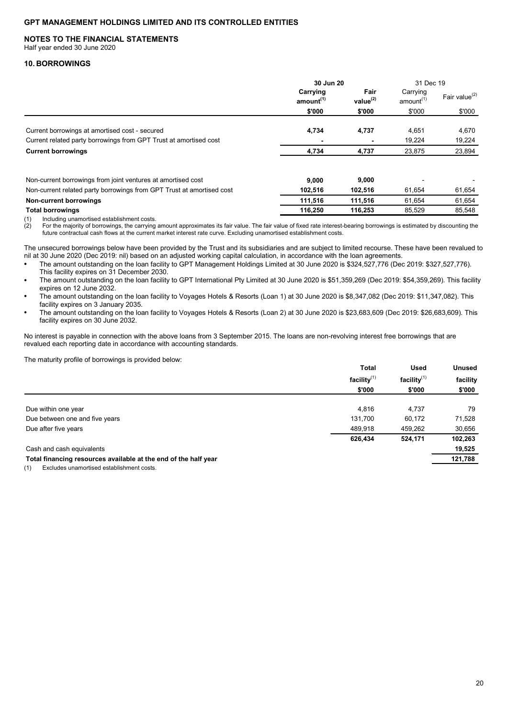### **NOTES TO THE FINANCIAL STATEMENTS**

Half year ended 30 June 2020

### **10. BORROWINGS**

|                                                                       | 30 Jun 20                                   |         | 31 Dec 19              |                                   |                           |
|-----------------------------------------------------------------------|---------------------------------------------|---------|------------------------|-----------------------------------|---------------------------|
|                                                                       | Carrying<br>amount <sup>(1)</sup><br>\$'000 |         | Fair<br>value $^{(2)}$ | Carrying<br>amount <sup>(1)</sup> | Fair value <sup>(2)</sup> |
|                                                                       |                                             | \$'000  | \$'000                 | \$'000                            |                           |
| Current borrowings at amortised cost - secured                        | 4,734                                       | 4,737   | 4,651                  | 4,670                             |                           |
| Current related party borrowings from GPT Trust at amortised cost     |                                             |         | 19,224                 | 19,224                            |                           |
| <b>Current borrowings</b>                                             | 4,734                                       | 4,737   | 23,875                 | 23,894                            |                           |
| Non-current borrowings from joint ventures at amortised cost          | 9.000                                       | 9,000   |                        |                                   |                           |
| Non-current related party borrowings from GPT Trust at amortised cost | 102,516                                     | 102,516 | 61,654                 | 61,654                            |                           |
| <b>Non-current borrowings</b>                                         | 111.516                                     | 111,516 | 61.654                 | 61,654                            |                           |
| <b>Total borrowings</b>                                               | 116,250                                     | 116,253 | 85,529                 | 85,548                            |                           |
|                                                                       |                                             |         |                        |                                   |                           |

(1) Including unamortised establishment costs.

 $\hat{q}(2)$  For the majority of borrowings, the carrying amount approximates its fair value. The fair value of fixed rate interest-bearing borrowings is estimated by discounting the future contractual cash flows at the current market interest rate curve. Excluding unamortised establishment costs.

The unsecured borrowings below have been provided by the Trust and its subsidiaries and are subject to limited recourse. These have been revalued to nil at 30 June 2020 (Dec 2019: nil) based on an adjusted working capital calculation, in accordance with the loan agreements.

- The amount outstanding on the loan facility to GPT Management Holdings Limited at 30 June 2020 is \$324,527,776 (Dec 2019: \$327,527,776). This facility expires on 31 December 2030.
- The amount outstanding on the loan facility to GPT International Pty Limited at 30 June 2020 is \$51,359,269 (Dec 2019: \$54,359,269). This facility expires on 12 June 2032.
- The amount outstanding on the loan facility to Voyages Hotels & Resorts (Loan 1) at 30 June 2020 is \$8,347,082 (Dec 2019: \$11,347,082). This facility expires on 3 January 2035.
- The amount outstanding on the loan facility to Voyages Hotels & Resorts (Loan 2) at 30 June 2020 is \$23,683,609 (Dec 2019: \$26,683,609). This facility expires on 30 June 2032.

No interest is payable in connection with the above loans from 3 September 2015. The loans are non-revolving interest free borrowings that are revalued each reporting date in accordance with accounting standards.

The maturity profile of borrowings is provided below:

|                                                                 | <b>Total</b><br>facility $^{(1)}$<br>\$'000 | <b>Used</b>                 | <b>Unused</b><br>facility<br>\$'000 |
|-----------------------------------------------------------------|---------------------------------------------|-----------------------------|-------------------------------------|
|                                                                 |                                             | facility $^{(1)}$<br>\$'000 |                                     |
|                                                                 |                                             |                             |                                     |
|                                                                 |                                             |                             |                                     |
| Due within one year                                             | 4.816                                       | 4,737                       | 79                                  |
| Due between one and five years                                  | 131,700                                     | 60,172                      | 71,528                              |
| Due after five years                                            | 489,918                                     | 459,262                     | 30,656                              |
|                                                                 | 626,434                                     | 524,171                     | 102,263                             |
| Cash and cash equivalents                                       |                                             |                             | 19,525                              |
| Total financing resources available at the end of the half year |                                             |                             | 121,788                             |

(1) Excludes unamortised establishment costs.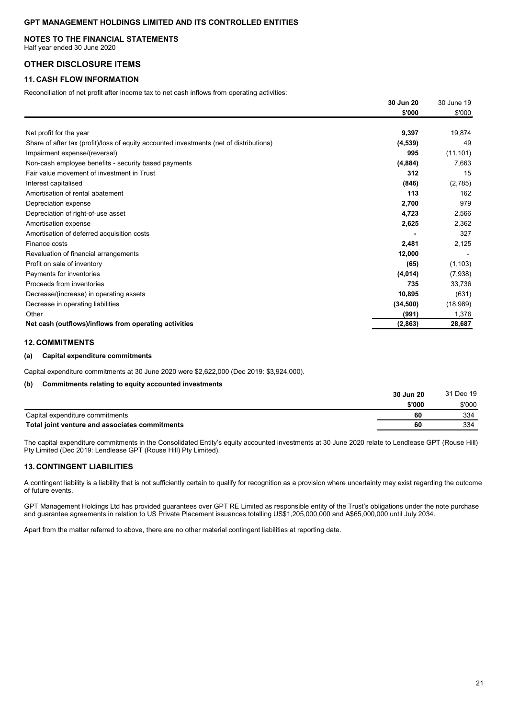### **NOTES TO THE FINANCIAL STATEMENTS**

Half year ended 30 June 2020

### **OTHER DISCLOSURE ITEMS**

### **11. CASH FLOW INFORMATION**

Reconciliation of net profit after income tax to net cash inflows from operating activities:

|                                                                                         | 30 Jun 20 | 30 June 19 |
|-----------------------------------------------------------------------------------------|-----------|------------|
|                                                                                         | \$'000    | \$'000     |
|                                                                                         |           |            |
| Net profit for the year                                                                 | 9,397     | 19,874     |
| Share of after tax (profit)/loss of equity accounted investments (net of distributions) | (4, 539)  | 49         |
| Impairment expense/(reversal)                                                           | 995       | (11, 101)  |
| Non-cash employee benefits - security based payments                                    | (4,884)   | 7,663      |
| Fair value movement of investment in Trust                                              | 312       | 15         |
| Interest capitalised                                                                    | (846)     | (2,785)    |
| Amortisation of rental abatement                                                        | 113       | 162        |
| Depreciation expense                                                                    | 2,700     | 979        |
| Depreciation of right-of-use asset                                                      | 4,723     | 2,566      |
| Amortisation expense                                                                    | 2,625     | 2,362      |
| Amortisation of deferred acquisition costs                                              |           | 327        |
| Finance costs                                                                           | 2,481     | 2,125      |
| Revaluation of financial arrangements                                                   | 12,000    |            |
| Profit on sale of inventory                                                             | (65)      | (1, 103)   |
| Payments for inventories                                                                | (4,014)   | (7,938)    |
| Proceeds from inventories                                                               | 735       | 33,736     |
| Decrease/(increase) in operating assets                                                 | 10,895    | (631)      |
| Decrease in operating liabilities                                                       | (34, 500) | (18,989)   |
| Other                                                                                   | (991)     | 1,376      |
| Net cash (outflows)/inflows from operating activities                                   | (2,863)   | 28,687     |
|                                                                                         |           |            |

#### **12. COMMITMENTS**

#### **(a) Capital expenditure commitments**

Capital expenditure commitments at 30 June 2020 were \$2,622,000 (Dec 2019: \$3,924,000).

#### **(b) Commitments relating to equity accounted investments**

| \$'000<br>Capital expenditure commitments            |    |        |
|------------------------------------------------------|----|--------|
|                                                      |    | \$'000 |
|                                                      | 60 | 334    |
| 60<br>Total joint venture and associates commitments |    | 334    |

The capital expenditure commitments in the Consolidated Entity's equity accounted investments at 30 June 2020 relate to Lendlease GPT (Rouse Hill) Pty Limited (Dec 2019: Lendlease GPT (Rouse Hill) Pty Limited).

### **13. CONTINGENT LIABILITIES**

A contingent liability is a liability that is not sufficiently certain to qualify for recognition as a provision where uncertainty may exist regarding the outcome of future events.

GPT Management Holdings Ltd has provided guarantees over GPT RE Limited as responsible entity of the Trust's obligations under the note purchase and guarantee agreements in relation to US Private Placement issuances totalling US\$1,205,000,000 and A\$65,000,000 until July 2034.

Apart from the matter referred to above, there are no other material contingent liabilities at reporting date.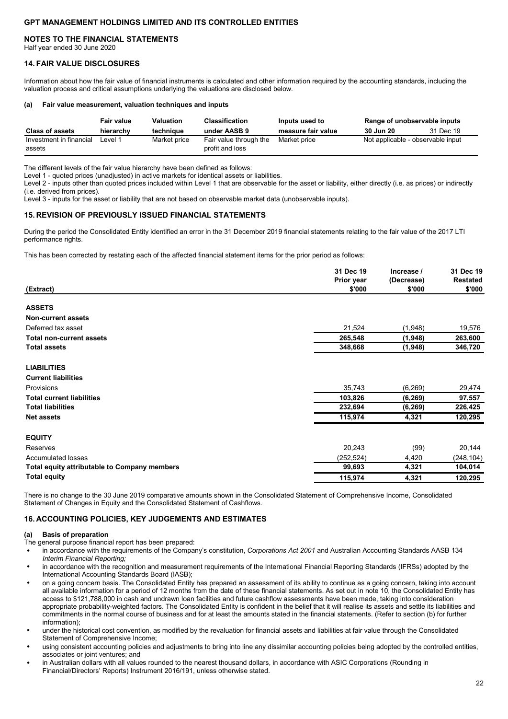#### **NOTES TO THE FINANCIAL STATEMENTS**

Half year ended 30 June 2020

#### **14. FAIR VALUE DISCLOSURES**

Information about how the fair value of financial instruments is calculated and other information required by the accounting standards, including the valuation process and critical assumptions underlying the valuations are disclosed below.

#### **(a) Fair value measurement, valuation techniques and inputs**

|                                   | Fair value | Valuation    | <b>Classification</b>                     | Inputs used to     | Range of unobservable inputs      |           |
|-----------------------------------|------------|--------------|-------------------------------------------|--------------------|-----------------------------------|-----------|
| <b>Class of assets</b>            | hierarchy  | technique    | under AASB 9                              | measure fair value | 30 Jun 20                         | 31 Dec 19 |
| Investment in financial<br>assets | ∟evel 1    | Market price | Fair value through the<br>profit and loss | Market price       | Not applicable - observable input |           |

The different levels of the fair value hierarchy have been defined as follows:

Level 1 - quoted prices (unadjusted) in active markets for identical assets or liabilities.

Level 2 - inputs other than quoted prices included within Level 1 that are observable for the asset or liability, either directly (i.e. as prices) or indirectly (i.e. derived from prices).

Level 3 - inputs for the asset or liability that are not based on observable market data (unobservable inputs).

#### **15. REVISION OF PREVIOUSLY ISSUED FINANCIAL STATEMENTS**

During the period the Consolidated Entity identified an error in the 31 December 2019 financial statements relating to the fair value of the 2017 LTI performance rights.

This has been corrected by restating each of the affected financial statement items for the prior period as follows:

|                                                     | 31 Dec 19<br>Prior year | Increase /<br>(Decrease) | 31 Dec 19<br><b>Restated</b> |
|-----------------------------------------------------|-------------------------|--------------------------|------------------------------|
| (Extract)                                           | \$'000                  | \$'000                   | \$'000                       |
| <b>ASSETS</b>                                       |                         |                          |                              |
| <b>Non-current assets</b>                           |                         |                          |                              |
| Deferred tax asset                                  | 21,524                  | (1,948)                  | 19,576                       |
| <b>Total non-current assets</b>                     | 265,548                 | (1,948)                  | 263,600                      |
| <b>Total assets</b>                                 | 348,668                 | (1,948)                  | 346,720                      |
| <b>LIABILITIES</b>                                  |                         |                          |                              |
| <b>Current liabilities</b>                          |                         |                          |                              |
| Provisions                                          | 35,743                  | (6, 269)                 | 29,474                       |
| <b>Total current liabilities</b>                    | 103,826                 | (6, 269)                 | 97,557                       |
| <b>Total liabilities</b>                            | 232,694                 | (6, 269)                 | 226,425                      |
| <b>Net assets</b>                                   | 115,974                 | 4,321                    | 120,295                      |
| <b>EQUITY</b>                                       |                         |                          |                              |
| Reserves                                            | 20,243                  | (99)                     | 20,144                       |
| <b>Accumulated losses</b>                           | (252, 524)              | 4,420                    | (248, 104)                   |
| <b>Total equity attributable to Company members</b> | 99,693                  | 4,321                    | 104,014                      |
| <b>Total equity</b>                                 | 115,974                 | 4,321                    | 120,295                      |

There is no change to the 30 June 2019 comparative amounts shown in the Consolidated Statement of Comprehensive Income, Consolidated Statement of Changes in Equity and the Consolidated Statement of Cashflows.

#### **16. ACCOUNTING POLICIES, KEY JUDGEMENTS AND ESTIMATES**

#### **(a) Basis of preparation**

The general purpose financial report has been prepared:

- in accordance with the requirements of the Company's constitution, *Corporations Act 2001* and Australian Accounting Standards AASB 134 *Interim Financial Reporting;*
- in accordance with the recognition and measurement requirements of the International Financial Reporting Standards (IFRSs) adopted by the International Accounting Standards Board (IASB);
- on a going concern basis. The Consolidated Entity has prepared an assessment of its ability to continue as a going concern, taking into account all available information for a period of 12 months from the date of these financial statements. As set out in note 10, the Consolidated Entity has access to \$121,788,000 in cash and undrawn loan facilities and future cashflow assessments have been made, taking into consideration appropriate probability-weighted factors. The Consolidated Entity is confident in the belief that it will realise its assets and settle its liabilities and commitments in the normal course of business and for at least the amounts stated in the financial statements. (Refer to section (b) for further information);
- under the historical cost convention, as modified by the revaluation for financial assets and liabilities at fair value through the Consolidated Statement of Comprehensive Income;
- using consistent accounting policies and adjustments to bring into line any dissimilar accounting policies being adopted by the controlled entities, associates or joint ventures; and
- in Australian dollars with all values rounded to the nearest thousand dollars, in accordance with ASIC Corporations (Rounding in Financial/Directors' Reports) Instrument 2016/191, unless otherwise stated.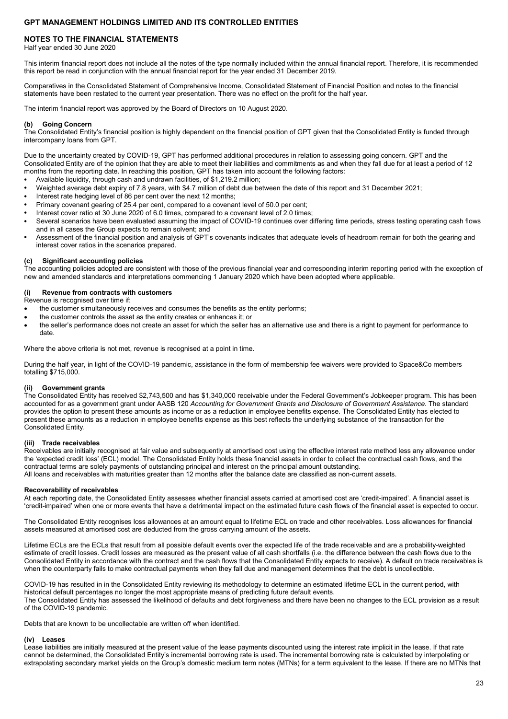#### **NOTES TO THE FINANCIAL STATEMENTS**

Half year ended 30 June 2020

This interim financial report does not include all the notes of the type normally included within the annual financial report. Therefore, it is recommended this report be read in conjunction with the annual financial report for the year ended 31 December 2019.

Comparatives in the Consolidated Statement of Comprehensive Income, Consolidated Statement of Financial Position and notes to the financial statements have been restated to the current year presentation. There was no effect on the profit for the half year.

The interim financial report was approved by the Board of Directors on 10 August 2020.

#### **(b) Going Concern**

The Consolidated Entity's financial position is highly dependent on the financial position of GPT given that the Consolidated Entity is funded through intercompany loans from GPT.

Due to the uncertainty created by COVID-19, GPT has performed additional procedures in relation to assessing going concern. GPT and the Consolidated Entity are of the opinion that they are able to meet their liabilities and commitments as and when they fall due for at least a period of 12 months from the reporting date. In reaching this position, GPT has taken into account the following factors:

- Available liquidity, through cash and undrawn facilities, of \$1,219.2 million;
- Weighted average debt expiry of 7.8 years, with \$4.7 million of debt due between the date of this report and 31 December 2021;
- Interest rate hedging level of 86 per cent over the next 12 months;
- Primary covenant gearing of 25.4 per cent, compared to a covenant level of 50.0 per cent;
- Interest cover ratio at 30 June 2020 of 6.0 times, compared to a covenant level of 2.0 times;
- Several scenarios have been evaluated assuming the impact of COVID-19 continues over differing time periods, stress testing operating cash flows and in all cases the Group expects to remain solvent; and
- Assessment of the financial position and analysis of GPT's covenants indicates that adequate levels of headroom remain for both the gearing and interest cover ratios in the scenarios prepared.

#### **(c) Significant accounting policies**

The accounting policies adopted are consistent with those of the previous financial year and corresponding interim reporting period with the exception of new and amended standards and interpretations commencing 1 January 2020 which have been adopted where applicable.

#### **(i) Revenue from contracts with customers**

Revenue is recognised over time if:

- the customer simultaneously receives and consumes the benefits as the entity performs;
- the customer controls the asset as the entity creates or enhances it; or
- the seller's performance does not create an asset for which the seller has an alternative use and there is a right to payment for performance to date.

Where the above criteria is not met, revenue is recognised at a point in time.

During the half year, in light of the COVID-19 pandemic, assistance in the form of membership fee waivers were provided to Space&Co members totalling \$715,000.

#### **(ii) Government grants**

The Consolidated Entity has received \$2,743,500 and has \$1,340,000 receivable under the Federal Government's Jobkeeper program. This has been accounted for as a government grant under AASB 120 *Accounting for Government Grants and Disclosure of Government Assistance*. The standard provides the option to present these amounts as income or as a reduction in employee benefits expense. The Consolidated Entity has elected to present these amounts as a reduction in employee benefits expense as this best reflects the underlying substance of the transaction for the Consolidated Entity.

#### **(iii) Trade receivables**

Receivables are initially recognised at fair value and subsequently at amortised cost using the effective interest rate method less any allowance under the 'expected credit loss' (ECL) model. The Consolidated Entity holds these financial assets in order to collect the contractual cash flows, and the contractual terms are solely payments of outstanding principal and interest on the principal amount outstanding. All loans and receivables with maturities greater than 12 months after the balance date are classified as non-current assets.

#### **Recoverability of receivables**

At each reporting date, the Consolidated Entity assesses whether financial assets carried at amortised cost are 'credit-impaired'. A financial asset is 'credit-impaired' when one or more events that have a detrimental impact on the estimated future cash flows of the financial asset is expected to occur.

The Consolidated Entity recognises loss allowances at an amount equal to lifetime ECL on trade and other receivables. Loss allowances for financial assets measured at amortised cost are deducted from the gross carrying amount of the assets.

Lifetime ECLs are the ECLs that result from all possible default events over the expected life of the trade receivable and are a probability-weighted estimate of credit losses. Credit losses are measured as the present value of all cash shortfalls (i.e. the difference between the cash flows due to the Consolidated Entity in accordance with the contract and the cash flows that the Consolidated Entity expects to receive). A default on trade receivables is when the counterparty fails to make contractual payments when they fall due and management determines that the debt is uncollectible.

COVID-19 has resulted in in the Consolidated Entity reviewing its methodology to determine an estimated lifetime ECL in the current period, with historical default percentages no longer the most appropriate means of predicting future default events. The Consolidated Entity has assessed the likelihood of defaults and debt forgiveness and there have been no changes to the ECL provision as a result of the COVID-19 pandemic.

Debts that are known to be uncollectable are written off when identified.

#### **(iv) Leases**

Lease liabilities are initially measured at the present value of the lease payments discounted using the interest rate implicit in the lease. If that rate cannot be determined, the Consolidated Entity's incremental borrowing rate is used. The incremental borrowing rate is calculated by interpolating or extrapolating secondary market yields on the Group's domestic medium term notes (MTNs) for a term equivalent to the lease. If there are no MTNs that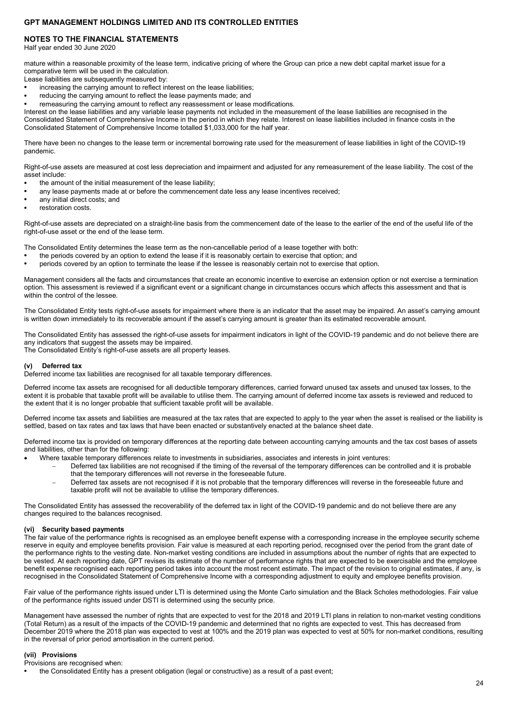### **NOTES TO THE FINANCIAL STATEMENTS**

Half year ended 30 June 2020

mature within a reasonable proximity of the lease term, indicative pricing of where the Group can price a new debt capital market issue for a comparative term will be used in the calculation.

Lease liabilities are subsequently measured by:

- increasing the carrying amount to reflect interest on the lease liabilities;
- reducing the carrying amount to reflect the lease payments made; and
- remeasuring the carrying amount to reflect any reassessment or lease modifications.

Interest on the lease liabilities and any variable lease payments not included in the measurement of the lease liabilities are recognised in the Consolidated Statement of Comprehensive Income in the period in which they relate. Interest on lease liabilities included in finance costs in the Consolidated Statement of Comprehensive Income totalled \$1,033,000 for the half year.

There have been no changes to the lease term or incremental borrowing rate used for the measurement of lease liabilities in light of the COVID-19 pandemic.

Right-of-use assets are measured at cost less depreciation and impairment and adjusted for any remeasurement of the lease liability. The cost of the asset include:

- the amount of the initial measurement of the lease liability;
- any lease payments made at or before the commencement date less any lease incentives received;
- any initial direct costs; and
- restoration costs.

Right-of-use assets are depreciated on a straight-line basis from the commencement date of the lease to the earlier of the end of the useful life of the right-of-use asset or the end of the lease term.

The Consolidated Entity determines the lease term as the non-cancellable period of a lease together with both:

- the periods covered by an option to extend the lease if it is reasonably certain to exercise that option; and
- periods covered by an option to terminate the lease if the lessee is reasonably certain not to exercise that option.

Management considers all the facts and circumstances that create an economic incentive to exercise an extension option or not exercise a termination option. This assessment is reviewed if a significant event or a significant change in circumstances occurs which affects this assessment and that is within the control of the lessee.

The Consolidated Entity tests right-of-use assets for impairment where there is an indicator that the asset may be impaired. An asset's carrying amount is written down immediately to its recoverable amount if the asset's carrying amount is greater than its estimated recoverable amount.

The Consolidated Entity has assessed the right-of-use assets for impairment indicators in light of the COVID-19 pandemic and do not believe there are any indicators that suggest the assets may be impaired.

The Consolidated Entity's right-of-use assets are all property leases.

#### **(v) Deferred tax**

Deferred income tax liabilities are recognised for all taxable temporary differences.

Deferred income tax assets are recognised for all deductible temporary differences, carried forward unused tax assets and unused tax losses, to the extent it is probable that taxable profit will be available to utilise them. The carrying amount of deferred income tax assets is reviewed and reduced to the extent that it is no longer probable that sufficient taxable profit will be available.

Deferred income tax assets and liabilities are measured at the tax rates that are expected to apply to the year when the asset is realised or the liability is settled, based on tax rates and tax laws that have been enacted or substantively enacted at the balance sheet date.

Deferred income tax is provided on temporary differences at the reporting date between accounting carrying amounts and the tax cost bases of assets and liabilities, other than for the following:

- Where taxable temporary differences relate to investments in subsidiaries, associates and interests in joint ventures:
	- Deferred tax liabilities are not recognised if the timing of the reversal of the temporary differences can be controlled and it is probable that the temporary differences will not reverse in the foreseeable future.
	- Deferred tax assets are not recognised if it is not probable that the temporary differences will reverse in the foreseeable future and taxable profit will not be available to utilise the temporary differences.

The Consolidated Entity has assessed the recoverability of the deferred tax in light of the COVID-19 pandemic and do not believe there are any changes required to the balances recognised.

#### **(vi) Security based payments**

The fair value of the performance rights is recognised as an employee benefit expense with a corresponding increase in the employee security scheme reserve in equity and employee benefits provision. Fair value is measured at each reporting period, recognised over the period from the grant date of the performance rights to the vesting date. Non-market vesting conditions are included in assumptions about the number of rights that are expected to be vested. At each reporting date, GPT revises its estimate of the number of performance rights that are expected to be exercisable and the employee benefit expense recognised each reporting period takes into account the most recent estimate. The impact of the revision to original estimates, if any, is recognised in the Consolidated Statement of Comprehensive Income with a corresponding adjustment to equity and employee benefits provision.

Fair value of the performance rights issued under LTI is determined using the Monte Carlo simulation and the Black Scholes methodologies. Fair value of the performance rights issued under DSTI is determined using the security price.

Management have assessed the number of rights that are expected to vest for the 2018 and 2019 LTI plans in relation to non-market vesting conditions (Total Return) as a result of the impacts of the COVID-19 pandemic and determined that no rights are expected to vest. This has decreased from December 2019 where the 2018 plan was expected to vest at 100% and the 2019 plan was expected to vest at 50% for non-market conditions, resulting in the reversal of prior period amortisation in the current period.

### **(vii) Provisions**

Provisions are recognised when:

• the Consolidated Entity has a present obligation (legal or constructive) as a result of a past event;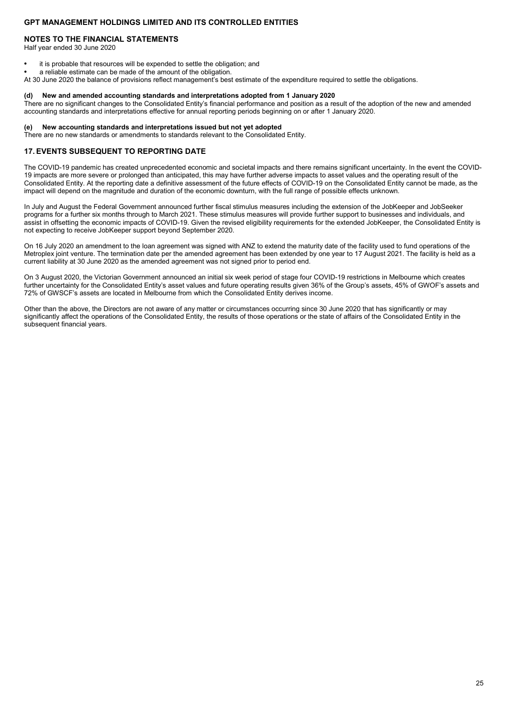#### **NOTES TO THE FINANCIAL STATEMENTS**

Half year ended 30 June 2020

- it is probable that resources will be expended to settle the obligation; and
- a reliable estimate can be made of the amount of the obligation.

At 30 June 2020 the balance of provisions reflect management's best estimate of the expenditure required to settle the obligations.

#### **(d) New and amended accounting standards and interpretations adopted from 1 January 2020**

There are no significant changes to the Consolidated Entity's financial performance and position as a result of the adoption of the new and amended accounting standards and interpretations effective for annual reporting periods beginning on or after 1 January 2020.

#### **(e) New accounting standards and interpretations issued but not yet adopted**

There are no new standards or amendments to standards relevant to the Consolidated Entity.

#### **17. EVENTS SUBSEQUENT TO REPORTING DATE**

The COVID-19 pandemic has created unprecedented economic and societal impacts and there remains significant uncertainty. In the event the COVID-19 impacts are more severe or prolonged than anticipated, this may have further adverse impacts to asset values and the operating result of the Consolidated Entity. At the reporting date a definitive assessment of the future effects of COVID-19 on the Consolidated Entity cannot be made, as the impact will depend on the magnitude and duration of the economic downturn, with the full range of possible effects unknown.

In July and August the Federal Government announced further fiscal stimulus measures including the extension of the JobKeeper and JobSeeker programs for a further six months through to March 2021. These stimulus measures will provide further support to businesses and individuals, and assist in offsetting the economic impacts of COVID-19. Given the revised eligibility requirements for the extended JobKeeper, the Consolidated Entity is not expecting to receive JobKeeper support beyond September 2020.

On 16 July 2020 an amendment to the loan agreement was signed with ANZ to extend the maturity date of the facility used to fund operations of the Metroplex joint venture. The termination date per the amended agreement has been extended by one year to 17 August 2021. The facility is held as a current liability at 30 June 2020 as the amended agreement was not signed prior to period end.

On 3 August 2020, the Victorian Government announced an initial six week period of stage four COVID-19 restrictions in Melbourne which creates further uncertainty for the Consolidated Entity's asset values and future operating results given 36% of the Group's assets, 45% of GWOF's assets and 72% of GWSCF's assets are located in Melbourne from which the Consolidated Entity derives income.

Other than the above, the Directors are not aware of any matter or circumstances occurring since 30 June 2020 that has significantly or may significantly affect the operations of the Consolidated Entity, the results of those operations or the state of affairs of the Consolidated Entity in the subsequent financial years.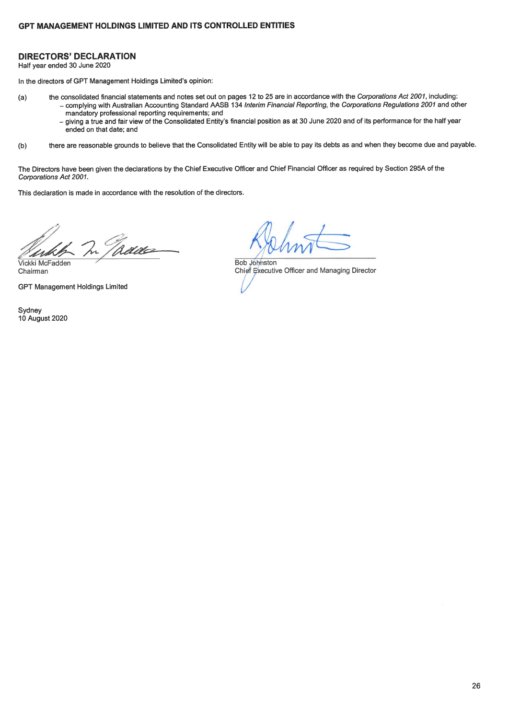### **DIRECTORS' DECLARATION**

Half year ended 30 June 2020

In the directors of GPT Management Holdings Limited's opinion:

- the consolidated financial statements and notes set out on pages 12 to 25 are in accordance with the Corporations Act 2001, including:  $(a)$ - complying with Australian Accounting Standard AASB 134 Interim Financial Reporting, the Corporations Regulations 2001 and other
	- mandatory professional reporting requirements; and - giving a true and fair view of the Consolidated Entity's financial position as at 30 June 2020 and of its performance for the half year ended on that date; and
- there are reasonable grounds to believe that the Consolidated Entity will be able to pay its debts as and when they become due and payable.  $(b)$

The Directors have been given the declarations by the Chief Executive Officer and Chief Financial Officer as required by Section 295A of the Corporations Act 2001.

This declaration is made in accordance with the resolution of the directors.

adde

Vickki McFadden Chairman

**GPT Management Holdings Limited** 

Sydney 10 August 2020

**Bob Johnston** Chief Executive Officer and Managing Director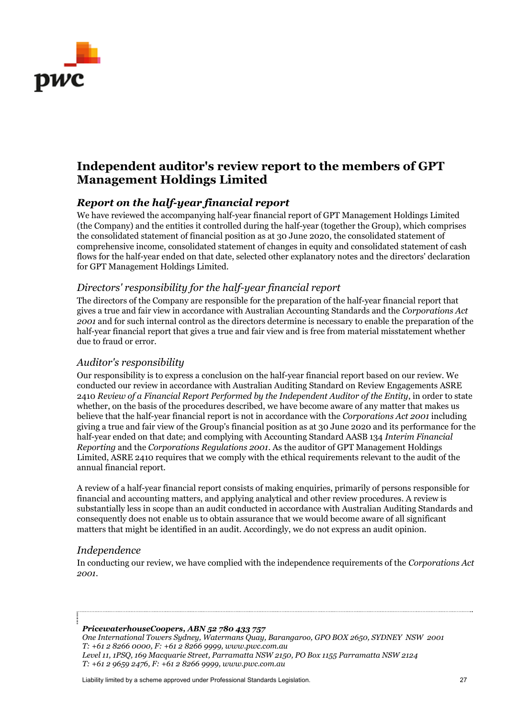

# **Independent auditor's review report to the members of GPT Management Holdings Limited**

## *Report on the half-year financial report*

We have reviewed the accompanying half-year financial report of GPT Management Holdings Limited (the Company) and the entities it controlled during the half-year (together the Group), which comprises the consolidated statement of financial position as at 30 June 2020, the consolidated statement of comprehensive income, consolidated statement of changes in equity and consolidated statement of cash flows for the half-year ended on that date, selected other explanatory notes and the directors' declaration for GPT Management Holdings Limited.

## *Directors' responsibility for the half-year financial report*

The directors of the Company are responsible for the preparation of the half-year financial report that gives a true and fair view in accordance with Australian Accounting Standards and the *Corporations Act 2001* and for such internal control as the directors determine is necessary to enable the preparation of the half-year financial report that gives a true and fair view and is free from material misstatement whether due to fraud or error.

## *Auditor's responsibility*

Our responsibility is to express a conclusion on the half-year financial report based on our review. We conducted our review in accordance with Australian Auditing Standard on Review Engagements ASRE 2410 *Review of a Financial Report Performed by the Independent Auditor of the Entity*, in order to state whether, on the basis of the procedures described, we have become aware of any matter that makes us believe that the half-year financial report is not in accordance with the *Corporations Act 2001* including giving a true and fair view of the Group's financial position as at 30 June 2020 and its performance for the half-year ended on that date; and complying with Accounting Standard AASB 134 *Interim Financial Reporting* and the *Corporations Regulations 2001*. As the auditor of GPT Management Holdings Limited, ASRE 2410 requires that we comply with the ethical requirements relevant to the audit of the annual financial report.

A review of a half-year financial report consists of making enquiries, primarily of persons responsible for financial and accounting matters, and applying analytical and other review procedures. A review is substantially less in scope than an audit conducted in accordance with Australian Auditing Standards and consequently does not enable us to obtain assurance that we would become aware of all significant matters that might be identified in an audit. Accordingly, we do not express an audit opinion.

## *Independence*

In conducting our review, we have complied with the independence requirements of the *Corporations Act 2001*.

### *PricewaterhouseCoopers, ABN 52 780 433 757*

*One International Towers Sydney, Watermans Quay, Barangaroo, GPO BOX 2650, SYDNEY NSW 2001 T: +61 2 8266 0000, F: +61 2 8266 9999, www.pwc.com.au Level 11, 1PSQ, 169 Macquarie Street, Parramatta NSW 2150, PO Box 1155 Parramatta NSW 2124 T: +61 2 9659 2476, F: +61 2 8266 9999, www.pwc.com.au* 

Liability limited by a scheme approved under Professional Standards Legislation. 27